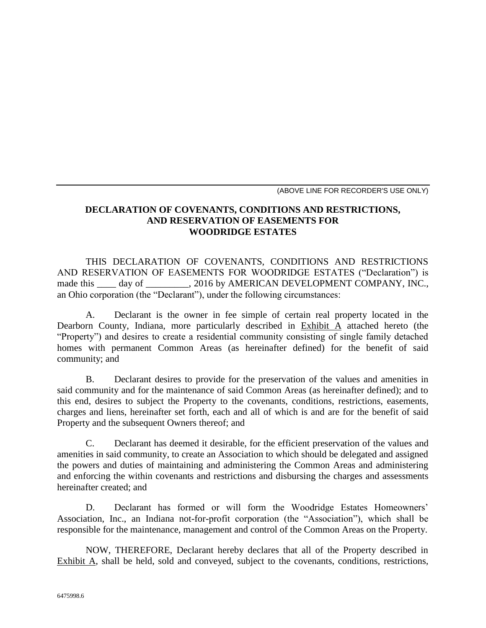(ABOVE LINE FOR RECORDER'S USE ONLY)

# **DECLARATION OF COVENANTS, CONDITIONS AND RESTRICTIONS, AND RESERVATION OF EASEMENTS FOR WOODRIDGE ESTATES**

THIS DECLARATION OF COVENANTS, CONDITIONS AND RESTRICTIONS AND RESERVATION OF EASEMENTS FOR WOODRIDGE ESTATES ("Declaration") is made this day of . 2016 by AMERICAN DEVELOPMENT COMPANY, INC., an Ohio corporation (the "Declarant"), under the following circumstances:

A. Declarant is the owner in fee simple of certain real property located in the Dearborn County, Indiana, more particularly described in Exhibit A attached hereto (the "Property") and desires to create a residential community consisting of single family detached homes with permanent Common Areas (as hereinafter defined) for the benefit of said community; and

B. Declarant desires to provide for the preservation of the values and amenities in said community and for the maintenance of said Common Areas (as hereinafter defined); and to this end, desires to subject the Property to the covenants, conditions, restrictions, easements, charges and liens, hereinafter set forth, each and all of which is and are for the benefit of said Property and the subsequent Owners thereof; and

C. Declarant has deemed it desirable, for the efficient preservation of the values and amenities in said community, to create an Association to which should be delegated and assigned the powers and duties of maintaining and administering the Common Areas and administering and enforcing the within covenants and restrictions and disbursing the charges and assessments hereinafter created; and

D. Declarant has formed or will form the Woodridge Estates Homeowners' Association, Inc., an Indiana not-for-profit corporation (the "Association"), which shall be responsible for the maintenance, management and control of the Common Areas on the Property.

NOW, THEREFORE, Declarant hereby declares that all of the Property described in Exhibit A, shall be held, sold and conveyed, subject to the covenants, conditions, restrictions,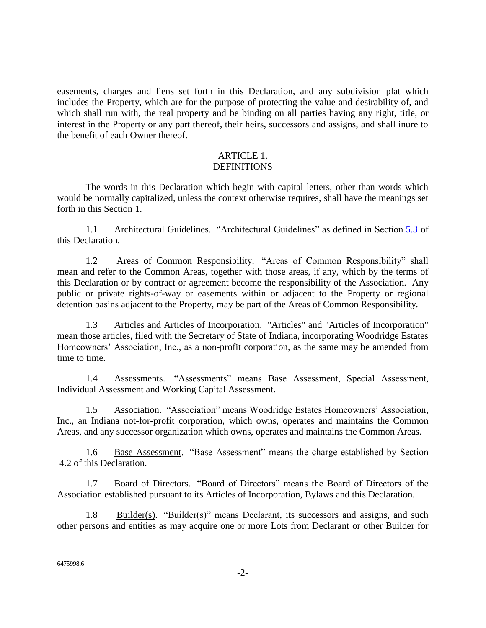easements, charges and liens set forth in this Declaration, and any subdivision plat which includes the Property, which are for the purpose of protecting the value and desirability of, and which shall run with, the real property and be binding on all parties having any right, title, or interest in the Property or any part thereof, their heirs, successors and assigns, and shall inure to the benefit of each Owner thereof.

#### ARTICLE 1. **DEFINITIONS**

The words in this Declaration which begin with capital letters, other than words which would be normally capitalized, unless the context otherwise requires, shall have the meanings set forth in this Section 1.

1.1 Architectural Guidelines. "Architectural Guidelines" as defined in Section 5.3 of this Declaration.

1.2 Areas of Common Responsibility. "Areas of Common Responsibility" shall mean and refer to the Common Areas, together with those areas, if any, which by the terms of this Declaration or by contract or agreement become the responsibility of the Association. Any public or private rights-of-way or easements within or adjacent to the Property or regional detention basins adjacent to the Property, may be part of the Areas of Common Responsibility.

1.3 Articles and Articles of Incorporation. "Articles" and "Articles of Incorporation" mean those articles, filed with the Secretary of State of Indiana, incorporating Woodridge Estates Homeowners' Association, Inc., as a non-profit corporation, as the same may be amended from time to time.

1.4 Assessments. "Assessments" means Base Assessment, Special Assessment, Individual Assessment and Working Capital Assessment.

1.5 Association. "Association" means Woodridge Estates Homeowners' Association, Inc., an Indiana not-for-profit corporation, which owns, operates and maintains the Common Areas, and any successor organization which owns, operates and maintains the Common Areas.

1.6 Base Assessment. "Base Assessment" means the charge established by Section 4.2 of this Declaration.

1.7 Board of Directors. "Board of Directors" means the Board of Directors of the Association established pursuant to its Articles of Incorporation, Bylaws and this Declaration.

1.8 Builder(s). "Builder(s)" means Declarant, its successors and assigns, and such other persons and entities as may acquire one or more Lots from Declarant or other Builder for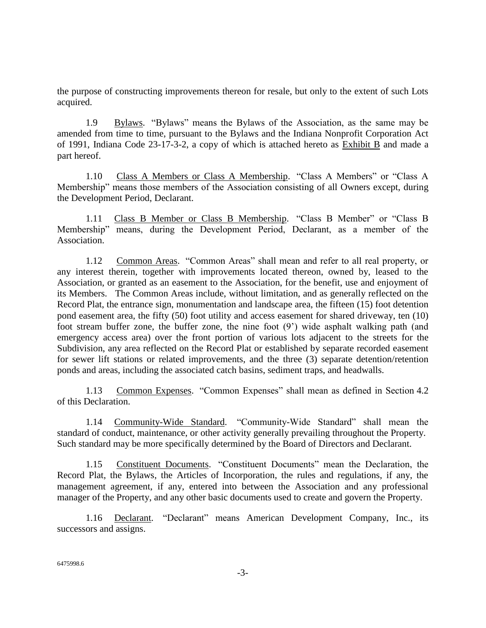the purpose of constructing improvements thereon for resale, but only to the extent of such Lots acquired.

1.9 Bylaws. "Bylaws" means the Bylaws of the Association, as the same may be amended from time to time, pursuant to the Bylaws and the Indiana Nonprofit Corporation Act of 1991, Indiana Code 23-17-3-2, a copy of which is attached hereto as Exhibit B and made a part hereof.

1.10 Class A Members or Class A Membership. "Class A Members" or "Class A Membership" means those members of the Association consisting of all Owners except, during the Development Period, Declarant.

1.11 Class B Member or Class B Membership. "Class B Member" or "Class B Membership" means, during the Development Period, Declarant, as a member of the Association.

1.12 Common Areas. "Common Areas" shall mean and refer to all real property, or any interest therein, together with improvements located thereon, owned by, leased to the Association, or granted as an easement to the Association, for the benefit, use and enjoyment of its Members. The Common Areas include, without limitation, and as generally reflected on the Record Plat, the entrance sign, monumentation and landscape area, the fifteen (15) foot detention pond easement area, the fifty (50) foot utility and access easement for shared driveway, ten (10) foot stream buffer zone, the buffer zone, the nine foot (9') wide asphalt walking path (and emergency access area) over the front portion of various lots adjacent to the streets for the Subdivision, any area reflected on the Record Plat or established by separate recorded easement for sewer lift stations or related improvements, and the three (3) separate detention/retention ponds and areas, including the associated catch basins, sediment traps, and headwalls.

1.13 Common Expenses. "Common Expenses" shall mean as defined in Section 4.2 of this Declaration.

1.14 Community-Wide Standard. "Community-Wide Standard" shall mean the standard of conduct, maintenance, or other activity generally prevailing throughout the Property. Such standard may be more specifically determined by the Board of Directors and Declarant.

1.15 Constituent Documents. "Constituent Documents" mean the Declaration, the Record Plat, the Bylaws, the Articles of Incorporation, the rules and regulations, if any, the management agreement, if any, entered into between the Association and any professional manager of the Property, and any other basic documents used to create and govern the Property.

1.16 Declarant. "Declarant" means American Development Company, Inc., its successors and assigns.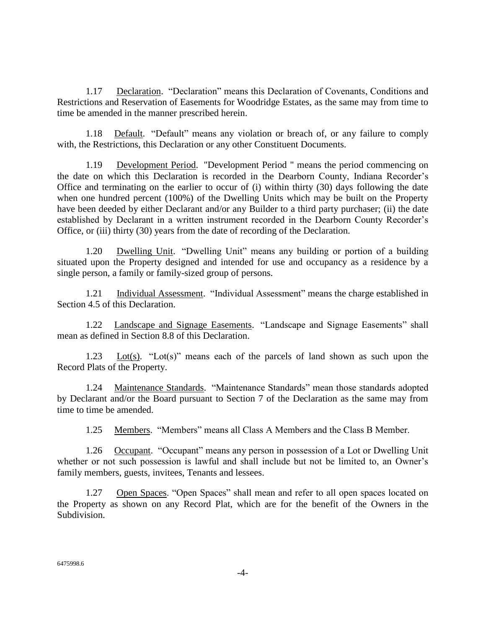1.17 Declaration. "Declaration" means this Declaration of Covenants, Conditions and Restrictions and Reservation of Easements for Woodridge Estates, as the same may from time to time be amended in the manner prescribed herein.

1.18 Default. "Default" means any violation or breach of, or any failure to comply with, the Restrictions, this Declaration or any other Constituent Documents.

1.19 Development Period. "Development Period " means the period commencing on the date on which this Declaration is recorded in the Dearborn County, Indiana Recorder's Office and terminating on the earlier to occur of (i) within thirty (30) days following the date when one hundred percent (100%) of the Dwelling Units which may be built on the Property have been deeded by either Declarant and/or any Builder to a third party purchaser; (ii) the date established by Declarant in a written instrument recorded in the Dearborn County Recorder's Office, or (iii) thirty (30) years from the date of recording of the Declaration.

1.20 Dwelling Unit. "Dwelling Unit" means any building or portion of a building situated upon the Property designed and intended for use and occupancy as a residence by a single person, a family or family-sized group of persons.

1.21 Individual Assessment. "Individual Assessment" means the charge established in Section 4.5 of this Declaration.

1.22 Landscape and Signage Easements. "Landscape and Signage Easements" shall mean as defined in Section [8.8](#page-25-0) of this Declaration.

1.23 Lot(s). "Lot(s)" means each of the parcels of land shown as such upon the Record Plats of the Property.

1.24 Maintenance Standards. "Maintenance Standards" mean those standards adopted by Declarant and/or the Board pursuant to Section 7 of the Declaration as the same may from time to time be amended.

1.25 Members. "Members" means all Class A Members and the Class B Member.

1.26 Occupant. "Occupant" means any person in possession of a Lot or Dwelling Unit whether or not such possession is lawful and shall include but not be limited to, an Owner's family members, guests, invitees, Tenants and lessees.

1.27 Open Spaces. "Open Spaces" shall mean and refer to all open spaces located on the Property as shown on any Record Plat, which are for the benefit of the Owners in the Subdivision.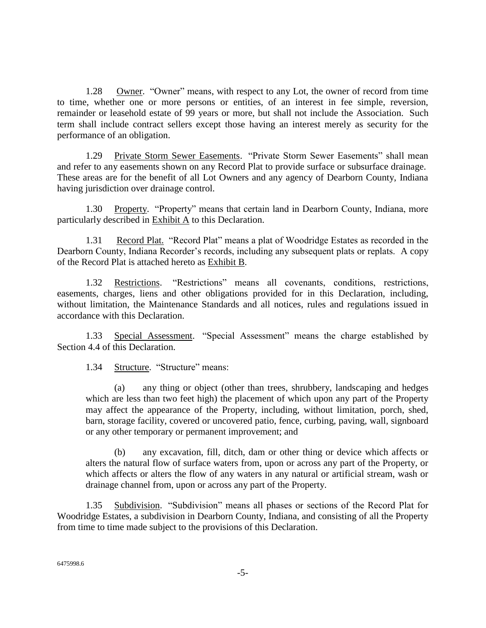1.28 Owner. "Owner" means, with respect to any Lot, the owner of record from time to time, whether one or more persons or entities, of an interest in fee simple, reversion, remainder or leasehold estate of 99 years or more, but shall not include the Association. Such term shall include contract sellers except those having an interest merely as security for the performance of an obligation.

1.29 Private Storm Sewer Easements. "Private Storm Sewer Easements" shall mean and refer to any easements shown on any Record Plat to provide surface or subsurface drainage. These areas are for the benefit of all Lot Owners and any agency of Dearborn County, Indiana having jurisdiction over drainage control.

1.30 Property. "Property" means that certain land in Dearborn County, Indiana, more particularly described in Exhibit A to this Declaration.

1.31 Record Plat. "Record Plat" means a plat of Woodridge Estates as recorded in the Dearborn County, Indiana Recorder's records, including any subsequent plats or replats. A copy of the Record Plat is attached hereto as Exhibit B.

1.32 Restrictions. "Restrictions" means all covenants, conditions, restrictions, easements, charges, liens and other obligations provided for in this Declaration, including, without limitation, the Maintenance Standards and all notices, rules and regulations issued in accordance with this Declaration.

1.33 Special Assessment. "Special Assessment" means the charge established by Section 4.4 of this Declaration.

1.34 Structure. "Structure" means:

(a) any thing or object (other than trees, shrubbery, landscaping and hedges which are less than two feet high) the placement of which upon any part of the Property may affect the appearance of the Property, including, without limitation, porch, shed, barn, storage facility, covered or uncovered patio, fence, curbing, paving, wall, signboard or any other temporary or permanent improvement; and

(b) any excavation, fill, ditch, dam or other thing or device which affects or alters the natural flow of surface waters from, upon or across any part of the Property, or which affects or alters the flow of any waters in any natural or artificial stream, wash or drainage channel from, upon or across any part of the Property.

1.35 Subdivision. "Subdivision" means all phases or sections of the Record Plat for Woodridge Estates, a subdivision in Dearborn County, Indiana, and consisting of all the Property from time to time made subject to the provisions of this Declaration.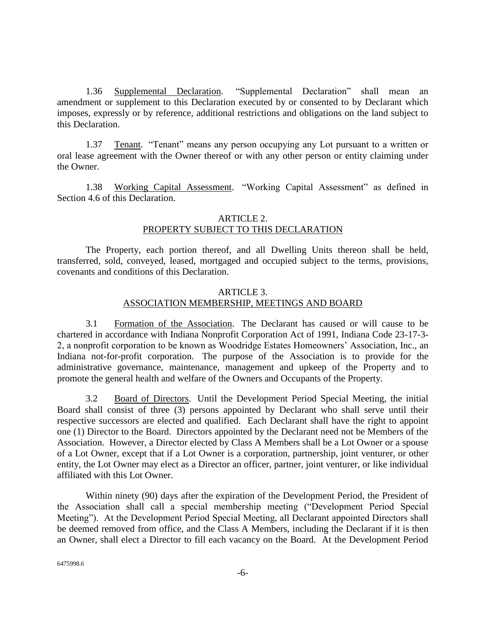1.36 Supplemental Declaration. "Supplemental Declaration" shall mean an amendment or supplement to this Declaration executed by or consented to by Declarant which imposes, expressly or by reference, additional restrictions and obligations on the land subject to this Declaration.

1.37 Tenant. "Tenant" means any person occupying any Lot pursuant to a written or oral lease agreement with the Owner thereof or with any other person or entity claiming under the Owner.

1.38 Working Capital Assessment. "Working Capital Assessment" as defined in Section [4.6](#page-9-0) of this Declaration.

# ARTICLE 2. PROPERTY SUBJECT TO THIS DECLARATION

The Property, each portion thereof, and all Dwelling Units thereon shall be held, transferred, sold, conveyed, leased, mortgaged and occupied subject to the terms, provisions, covenants and conditions of this Declaration.

### ARTICLE 3. ASSOCIATION MEMBERSHIP, MEETINGS AND BOARD

3.1 Formation of the Association. The Declarant has caused or will cause to be chartered in accordance with Indiana Nonprofit Corporation Act of 1991, Indiana Code 23-17-3- 2, a nonprofit corporation to be known as Woodridge Estates Homeowners' Association, Inc., an Indiana not-for-profit corporation. The purpose of the Association is to provide for the administrative governance, maintenance, management and upkeep of the Property and to promote the general health and welfare of the Owners and Occupants of the Property.

3.2 Board of Directors. Until the Development Period Special Meeting, the initial Board shall consist of three (3) persons appointed by Declarant who shall serve until their respective successors are elected and qualified. Each Declarant shall have the right to appoint one (1) Director to the Board. Directors appointed by the Declarant need not be Members of the Association. However, a Director elected by Class A Members shall be a Lot Owner or a spouse of a Lot Owner, except that if a Lot Owner is a corporation, partnership, joint venturer, or other entity, the Lot Owner may elect as a Director an officer, partner, joint venturer, or like individual affiliated with this Lot Owner.

Within ninety (90) days after the expiration of the Development Period, the President of the Association shall call a special membership meeting ("Development Period Special Meeting"). At the Development Period Special Meeting, all Declarant appointed Directors shall be deemed removed from office, and the Class A Members, including the Declarant if it is then an Owner, shall elect a Director to fill each vacancy on the Board. At the Development Period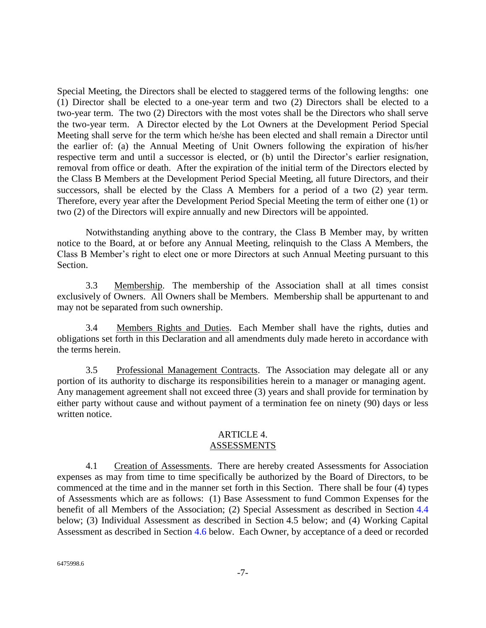Special Meeting, the Directors shall be elected to staggered terms of the following lengths: one (1) Director shall be elected to a one-year term and two (2) Directors shall be elected to a two-year term. The two (2) Directors with the most votes shall be the Directors who shall serve the two-year term. A Director elected by the Lot Owners at the Development Period Special Meeting shall serve for the term which he/she has been elected and shall remain a Director until the earlier of: (a) the Annual Meeting of Unit Owners following the expiration of his/her respective term and until a successor is elected, or (b) until the Director's earlier resignation, removal from office or death. After the expiration of the initial term of the Directors elected by the Class B Members at the Development Period Special Meeting, all future Directors, and their successors, shall be elected by the Class A Members for a period of a two (2) year term. Therefore, every year after the Development Period Special Meeting the term of either one (1) or two (2) of the Directors will expire annually and new Directors will be appointed.

Notwithstanding anything above to the contrary, the Class B Member may, by written notice to the Board, at or before any Annual Meeting, relinquish to the Class A Members, the Class B Member's right to elect one or more Directors at such Annual Meeting pursuant to this Section.

3.3 Membership. The membership of the Association shall at all times consist exclusively of Owners. All Owners shall be Members. Membership shall be appurtenant to and may not be separated from such ownership.

3.4 Members Rights and Duties. Each Member shall have the rights, duties and obligations set forth in this Declaration and all amendments duly made hereto in accordance with the terms herein.

3.5 Professional Management Contracts. The Association may delegate all or any portion of its authority to discharge its responsibilities herein to a manager or managing agent. Any management agreement shall not exceed three (3) years and shall provide for termination by either party without cause and without payment of a termination fee on ninety (90) days or less written notice.

### ARTICLE 4. ASSESSMENTS

4.1 Creation of Assessments. There are hereby created Assessments for Association expenses as may from time to time specifically be authorized by the Board of Directors, to be commenced at the time and in the manner set forth in this Section. There shall be four (4) types of Assessments which are as follows: (1) Base Assessment to fund Common Expenses for the benefit of all Members of the Association; (2) Special Assessment as described in Section 4.4 below; (3) Individual Assessment as described in Section 4.5 below; and (4) Working Capital Assessment as described in Section 4.6 below. Each Owner, by acceptance of a deed or recorded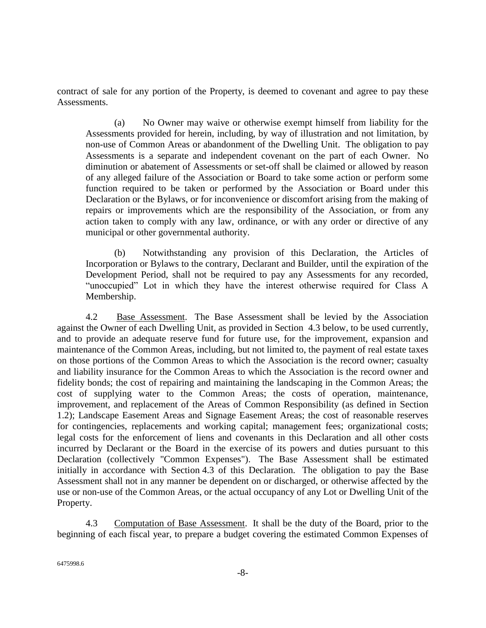contract of sale for any portion of the Property, is deemed to covenant and agree to pay these Assessments.

(a) No Owner may waive or otherwise exempt himself from liability for the Assessments provided for herein, including, by way of illustration and not limitation, by non-use of Common Areas or abandonment of the Dwelling Unit. The obligation to pay Assessments is a separate and independent covenant on the part of each Owner. No diminution or abatement of Assessments or set-off shall be claimed or allowed by reason of any alleged failure of the Association or Board to take some action or perform some function required to be taken or performed by the Association or Board under this Declaration or the Bylaws, or for inconvenience or discomfort arising from the making of repairs or improvements which are the responsibility of the Association, or from any action taken to comply with any law, ordinance, or with any order or directive of any municipal or other governmental authority.

(b) Notwithstanding any provision of this Declaration, the Articles of Incorporation or Bylaws to the contrary, Declarant and Builder, until the expiration of the Development Period, shall not be required to pay any Assessments for any recorded, "unoccupied" Lot in which they have the interest otherwise required for Class A Membership.

4.2 Base Assessment. The Base Assessment shall be levied by the Association against the Owner of each Dwelling Unit, as provided in Section 4.3 below, to be used currently, and to provide an adequate reserve fund for future use, for the improvement, expansion and maintenance of the Common Areas, including, but not limited to, the payment of real estate taxes on those portions of the Common Areas to which the Association is the record owner; casualty and liability insurance for the Common Areas to which the Association is the record owner and fidelity bonds; the cost of repairing and maintaining the landscaping in the Common Areas; the cost of supplying water to the Common Areas; the costs of operation, maintenance, improvement, and replacement of the Areas of Common Responsibility (as defined in Section 1.2); Landscape Easement Areas and Signage Easement Areas; the cost of reasonable reserves for contingencies, replacements and working capital; management fees; organizational costs; legal costs for the enforcement of liens and covenants in this Declaration and all other costs incurred by Declarant or the Board in the exercise of its powers and duties pursuant to this Declaration (collectively "Common Expenses"). The Base Assessment shall be estimated initially in accordance with Section 4.3 of this Declaration. The obligation to pay the Base Assessment shall not in any manner be dependent on or discharged, or otherwise affected by the use or non-use of the Common Areas, or the actual occupancy of any Lot or Dwelling Unit of the Property.

4.3 Computation of Base Assessment. It shall be the duty of the Board, prior to the beginning of each fiscal year, to prepare a budget covering the estimated Common Expenses of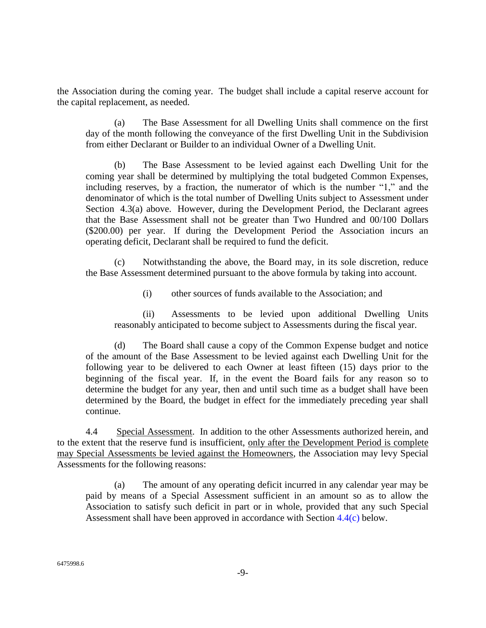the Association during the coming year. The budget shall include a capital reserve account for the capital replacement, as needed.

(a) The Base Assessment for all Dwelling Units shall commence on the first day of the month following the conveyance of the first Dwelling Unit in the Subdivision from either Declarant or Builder to an individual Owner of a Dwelling Unit.

The Base Assessment to be levied against each Dwelling Unit for the coming year shall be determined by multiplying the total budgeted Common Expenses, including reserves, by a fraction, the numerator of which is the number "1," and the denominator of which is the total number of Dwelling Units subject to Assessment under Section 4.3(a) above. However, during the Development Period, the Declarant agrees that the Base Assessment shall not be greater than Two Hundred and 00/100 Dollars (\$200.00) per year. If during the Development Period the Association incurs an operating deficit, Declarant shall be required to fund the deficit.

(c) Notwithstanding the above, the Board may, in its sole discretion, reduce the Base Assessment determined pursuant to the above formula by taking into account.

(i) other sources of funds available to the Association; and

(ii) Assessments to be levied upon additional Dwelling Units reasonably anticipated to become subject to Assessments during the fiscal year.

(d) The Board shall cause a copy of the Common Expense budget and notice of the amount of the Base Assessment to be levied against each Dwelling Unit for the following year to be delivered to each Owner at least fifteen (15) days prior to the beginning of the fiscal year. If, in the event the Board fails for any reason so to determine the budget for any year, then and until such time as a budget shall have been determined by the Board, the budget in effect for the immediately preceding year shall continue.

4.4 Special Assessment. In addition to the other Assessments authorized herein, and to the extent that the reserve fund is insufficient, only after the Development Period is complete may Special Assessments be levied against the Homeowners, the Association may levy Special Assessments for the following reasons:

(a) The amount of any operating deficit incurred in any calendar year may be paid by means of a Special Assessment sufficient in an amount so as to allow the Association to satisfy such deficit in part or in whole, provided that any such Special Assessment shall have been approved in accordance with Section 4.4(c) below.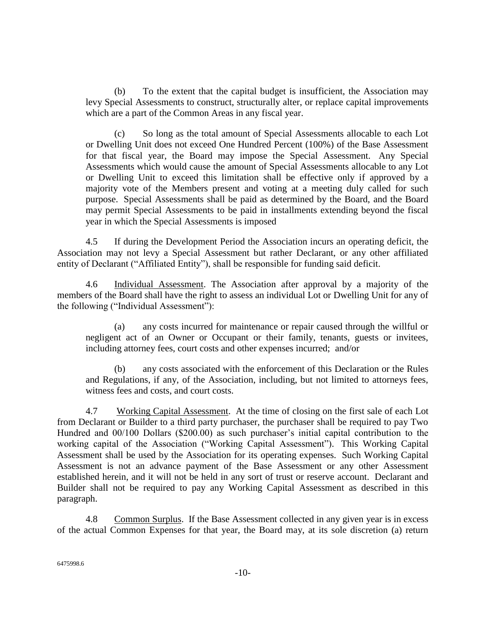(b) To the extent that the capital budget is insufficient, the Association may levy Special Assessments to construct, structurally alter, or replace capital improvements which are a part of the Common Areas in any fiscal year.

(c) So long as the total amount of Special Assessments allocable to each Lot or Dwelling Unit does not exceed One Hundred Percent (100%) of the Base Assessment for that fiscal year, the Board may impose the Special Assessment. Any Special Assessments which would cause the amount of Special Assessments allocable to any Lot or Dwelling Unit to exceed this limitation shall be effective only if approved by a majority vote of the Members present and voting at a meeting duly called for such purpose. Special Assessments shall be paid as determined by the Board, and the Board may permit Special Assessments to be paid in installments extending beyond the fiscal year in which the Special Assessments is imposed

4.5 If during the Development Period the Association incurs an operating deficit, the Association may not levy a Special Assessment but rather Declarant, or any other affiliated entity of Declarant ("Affiliated Entity"), shall be responsible for funding said deficit.

<span id="page-9-0"></span>4.6 Individual Assessment. The Association after approval by a majority of the members of the Board shall have the right to assess an individual Lot or Dwelling Unit for any of the following ("Individual Assessment"):

(a) any costs incurred for maintenance or repair caused through the willful or negligent act of an Owner or Occupant or their family, tenants, guests or invitees, including attorney fees, court costs and other expenses incurred; and/or

(b) any costs associated with the enforcement of this Declaration or the Rules and Regulations, if any, of the Association, including, but not limited to attorneys fees, witness fees and costs, and court costs.

4.7 Working Capital Assessment. At the time of closing on the first sale of each Lot from Declarant or Builder to a third party purchaser, the purchaser shall be required to pay Two Hundred and 00/100 Dollars (\$200.00) as such purchaser's initial capital contribution to the working capital of the Association ("Working Capital Assessment"). This Working Capital Assessment shall be used by the Association for its operating expenses. Such Working Capital Assessment is not an advance payment of the Base Assessment or any other Assessment established herein, and it will not be held in any sort of trust or reserve account. Declarant and Builder shall not be required to pay any Working Capital Assessment as described in this paragraph.

4.8 Common Surplus. If the Base Assessment collected in any given year is in excess of the actual Common Expenses for that year, the Board may, at its sole discretion (a) return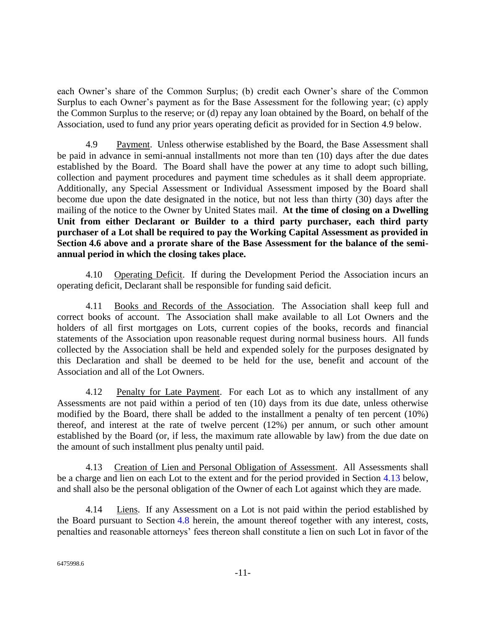each Owner's share of the Common Surplus; (b) credit each Owner's share of the Common Surplus to each Owner's payment as for the Base Assessment for the following year; (c) apply the Common Surplus to the reserve; or (d) repay any loan obtained by the Board, on behalf of the Association, used to fund any prior years operating deficit as provided for in Section 4.9 below.

4.9 Payment. Unless otherwise established by the Board, the Base Assessment shall be paid in advance in semi-annual installments not more than ten (10) days after the due dates established by the Board. The Board shall have the power at any time to adopt such billing, collection and payment procedures and payment time schedules as it shall deem appropriate. Additionally, any Special Assessment or Individual Assessment imposed by the Board shall become due upon the date designated in the notice, but not less than thirty (30) days after the mailing of the notice to the Owner by United States mail. **At the time of closing on a Dwelling Unit from either Declarant or Builder to a third party purchaser, each third party purchaser of a Lot shall be required to pay the Working Capital Assessment as provided in Section 4.6 above and a prorate share of the Base Assessment for the balance of the semiannual period in which the closing takes place.**

4.10 Operating Deficit. If during the Development Period the Association incurs an operating deficit, Declarant shall be responsible for funding said deficit.

4.11 Books and Records of the Association. The Association shall keep full and correct books of account. The Association shall make available to all Lot Owners and the holders of all first mortgages on Lots, current copies of the books, records and financial statements of the Association upon reasonable request during normal business hours. All funds collected by the Association shall be held and expended solely for the purposes designated by this Declaration and shall be deemed to be held for the use, benefit and account of the Association and all of the Lot Owners.

4.12 Penalty for Late Payment. For each Lot as to which any installment of any Assessments are not paid within a period of ten (10) days from its due date, unless otherwise modified by the Board, there shall be added to the installment a penalty of ten percent (10%) thereof, and interest at the rate of twelve percent (12%) per annum, or such other amount established by the Board (or, if less, the maximum rate allowable by law) from the due date on the amount of such installment plus penalty until paid.

4.13 Creation of Lien and Personal Obligation of Assessment. All Assessments shall be a charge and lien on each Lot to the extent and for the period provided in Section 4.13 below, and shall also be the personal obligation of the Owner of each Lot against which they are made.

4.14 Liens. If any Assessment on a Lot is not paid within the period established by the Board pursuant to Section 4.8 herein, the amount thereof together with any interest, costs, penalties and reasonable attorneys' fees thereon shall constitute a lien on such Lot in favor of the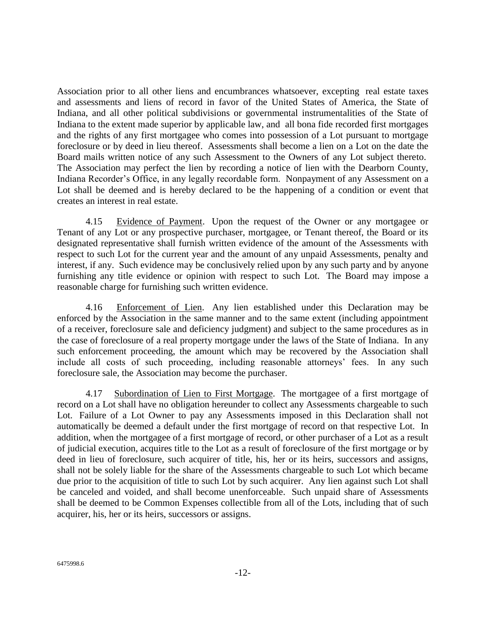Association prior to all other liens and encumbrances whatsoever, excepting real estate taxes and assessments and liens of record in favor of the United States of America, the State of Indiana, and all other political subdivisions or governmental instrumentalities of the State of Indiana to the extent made superior by applicable law, and all bona fide recorded first mortgages and the rights of any first mortgagee who comes into possession of a Lot pursuant to mortgage foreclosure or by deed in lieu thereof. Assessments shall become a lien on a Lot on the date the Board mails written notice of any such Assessment to the Owners of any Lot subject thereto. The Association may perfect the lien by recording a notice of lien with the Dearborn County, Indiana Recorder's Office, in any legally recordable form. Nonpayment of any Assessment on a Lot shall be deemed and is hereby declared to be the happening of a condition or event that creates an interest in real estate.

4.15 Evidence of Payment. Upon the request of the Owner or any mortgagee or Tenant of any Lot or any prospective purchaser, mortgagee, or Tenant thereof, the Board or its designated representative shall furnish written evidence of the amount of the Assessments with respect to such Lot for the current year and the amount of any unpaid Assessments, penalty and interest, if any. Such evidence may be conclusively relied upon by any such party and by anyone furnishing any title evidence or opinion with respect to such Lot. The Board may impose a reasonable charge for furnishing such written evidence.

4.16 Enforcement of Lien. Any lien established under this Declaration may be enforced by the Association in the same manner and to the same extent (including appointment of a receiver, foreclosure sale and deficiency judgment) and subject to the same procedures as in the case of foreclosure of a real property mortgage under the laws of the State of Indiana. In any such enforcement proceeding, the amount which may be recovered by the Association shall include all costs of such proceeding, including reasonable attorneys' fees. In any such foreclosure sale, the Association may become the purchaser.

4.17 Subordination of Lien to First Mortgage. The mortgagee of a first mortgage of record on a Lot shall have no obligation hereunder to collect any Assessments chargeable to such Lot. Failure of a Lot Owner to pay any Assessments imposed in this Declaration shall not automatically be deemed a default under the first mortgage of record on that respective Lot. In addition, when the mortgagee of a first mortgage of record, or other purchaser of a Lot as a result of judicial execution, acquires title to the Lot as a result of foreclosure of the first mortgage or by deed in lieu of foreclosure, such acquirer of title, his, her or its heirs, successors and assigns, shall not be solely liable for the share of the Assessments chargeable to such Lot which became due prior to the acquisition of title to such Lot by such acquirer. Any lien against such Lot shall be canceled and voided, and shall become unenforceable. Such unpaid share of Assessments shall be deemed to be Common Expenses collectible from all of the Lots, including that of such acquirer, his, her or its heirs, successors or assigns.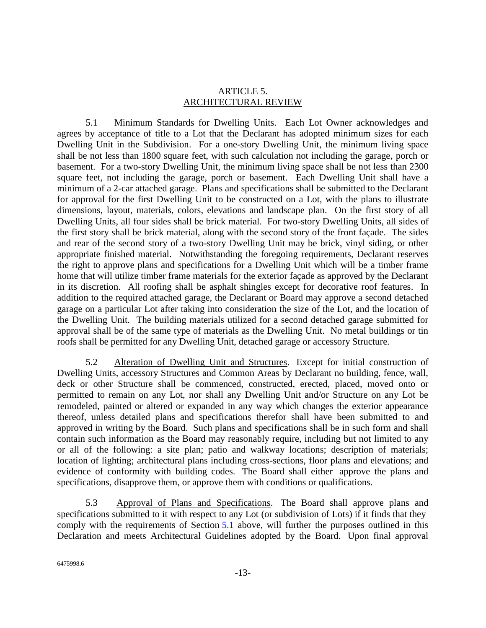### ARTICLE 5. ARCHITECTURAL REVIEW

<span id="page-12-0"></span>5.1 Minimum Standards for Dwelling Units. Each Lot Owner acknowledges and agrees by acceptance of title to a Lot that the Declarant has adopted minimum sizes for each Dwelling Unit in the Subdivision. For a one-story Dwelling Unit, the minimum living space shall be not less than 1800 square feet, with such calculation not including the garage, porch or basement. For a two-story Dwelling Unit, the minimum living space shall be not less than 2300 square feet, not including the garage, porch or basement. Each Dwelling Unit shall have a minimum of a 2-car attached garage. Plans and specifications shall be submitted to the Declarant for approval for the first Dwelling Unit to be constructed on a Lot, with the plans to illustrate dimensions, layout, materials, colors, elevations and landscape plan. On the first story of all Dwelling Units, all four sides shall be brick material. For two-story Dwelling Units, all sides of the first story shall be brick material, along with the second story of the front façade. The sides and rear of the second story of a two-story Dwelling Unit may be brick, vinyl siding, or other appropriate finished material. Notwithstanding the foregoing requirements, Declarant reserves the right to approve plans and specifications for a Dwelling Unit which will be a timber frame home that will utilize timber frame materials for the exterior façade as approved by the Declarant in its discretion. All roofing shall be asphalt shingles except for decorative roof features. In addition to the required attached garage, the Declarant or Board may approve a second detached garage on a particular Lot after taking into consideration the size of the Lot, and the location of the Dwelling Unit. The building materials utilized for a second detached garage submitted for approval shall be of the same type of materials as the Dwelling Unit. No metal buildings or tin roofs shall be permitted for any Dwelling Unit, detached garage or accessory Structure.

5.2 Alteration of Dwelling Unit and Structures. Except for initial construction of Dwelling Units, accessory Structures and Common Areas by Declarant no building, fence, wall, deck or other Structure shall be commenced, constructed, erected, placed, moved onto or permitted to remain on any Lot, nor shall any Dwelling Unit and/or Structure on any Lot be remodeled, painted or altered or expanded in any way which changes the exterior appearance thereof, unless detailed plans and specifications therefor shall have been submitted to and approved in writing by the Board. Such plans and specifications shall be in such form and shall contain such information as the Board may reasonably require, including but not limited to any or all of the following: a site plan; patio and walkway locations; description of materials; location of lighting; architectural plans including cross-sections, floor plans and elevations; and evidence of conformity with building codes. The Board shall either approve the plans and specifications, disapprove them, or approve them with conditions or qualifications.

5.3 Approval of Plans and Specifications. The Board shall approve plans and specifications submitted to it with respect to any Lot (or subdivision of Lots) if it finds that they comply with the requirements of Section 5.1 above, will further the purposes outlined in this Declaration and meets Architectural Guidelines adopted by the Board. Upon final approval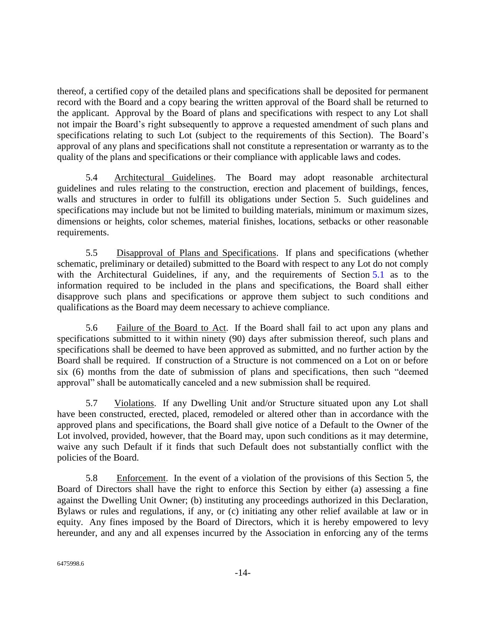thereof, a certified copy of the detailed plans and specifications shall be deposited for permanent record with the Board and a copy bearing the written approval of the Board shall be returned to the applicant. Approval by the Board of plans and specifications with respect to any Lot shall not impair the Board's right subsequently to approve a requested amendment of such plans and specifications relating to such Lot (subject to the requirements of this Section). The Board's approval of any plans and specifications shall not constitute a representation or warranty as to the quality of the plans and specifications or their compliance with applicable laws and codes.

5.4 Architectural Guidelines. The Board may adopt reasonable architectural guidelines and rules relating to the construction, erection and placement of buildings, fences, walls and structures in order to fulfill its obligations under Section 5. Such guidelines and specifications may include but not be limited to building materials, minimum or maximum sizes, dimensions or heights, color schemes, material finishes, locations, setbacks or other reasonable requirements.

5.5 Disapproval of Plans and Specifications. If plans and specifications (whether schematic, preliminary or detailed) submitted to the Board with respect to any Lot do not comply with the Architectural Guidelines, if any, and the requirements of Section 5.1 as to the information required to be included in the plans and specifications, the Board shall either disapprove such plans and specifications or approve them subject to such conditions and qualifications as the Board may deem necessary to achieve compliance.

5.6 Failure of the Board to Act. If the Board shall fail to act upon any plans and specifications submitted to it within ninety (90) days after submission thereof, such plans and specifications shall be deemed to have been approved as submitted, and no further action by the Board shall be required. If construction of a Structure is not commenced on a Lot on or before six (6) months from the date of submission of plans and specifications, then such "deemed approval" shall be automatically canceled and a new submission shall be required.

5.7 Violations. If any Dwelling Unit and/or Structure situated upon any Lot shall have been constructed, erected, placed, remodeled or altered other than in accordance with the approved plans and specifications, the Board shall give notice of a Default to the Owner of the Lot involved, provided, however, that the Board may, upon such conditions as it may determine, waive any such Default if it finds that such Default does not substantially conflict with the policies of the Board.

5.8 Enforcement. In the event of a violation of the provisions of this Section 5, the Board of Directors shall have the right to enforce this Section by either (a) assessing a fine against the Dwelling Unit Owner; (b) instituting any proceedings authorized in this Declaration, Bylaws or rules and regulations, if any, or (c) initiating any other relief available at law or in equity. Any fines imposed by the Board of Directors, which it is hereby empowered to levy hereunder, and any and all expenses incurred by the Association in enforcing any of the terms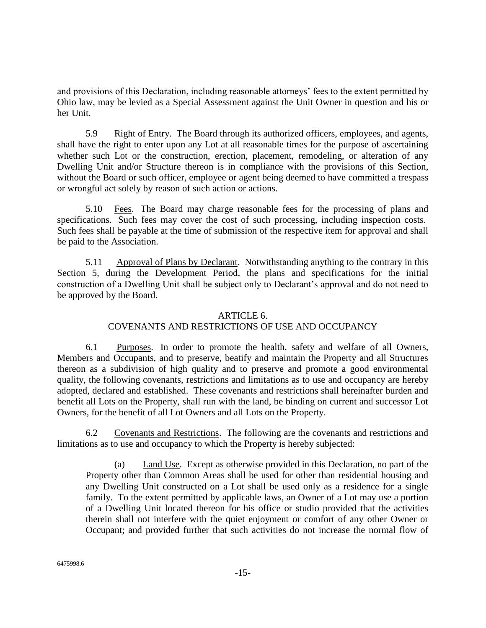and provisions of this Declaration, including reasonable attorneys' fees to the extent permitted by Ohio law, may be levied as a Special Assessment against the Unit Owner in question and his or her Unit.

5.9 Right of Entry. The Board through its authorized officers, employees, and agents, shall have the right to enter upon any Lot at all reasonable times for the purpose of ascertaining whether such Lot or the construction, erection, placement, remodeling, or alteration of any Dwelling Unit and/or Structure thereon is in compliance with the provisions of this Section, without the Board or such officer, employee or agent being deemed to have committed a trespass or wrongful act solely by reason of such action or actions.

5.10 Fees. The Board may charge reasonable fees for the processing of plans and specifications. Such fees may cover the cost of such processing, including inspection costs. Such fees shall be payable at the time of submission of the respective item for approval and shall be paid to the Association.

5.11 Approval of Plans by Declarant. Notwithstanding anything to the contrary in this Section 5, during the Development Period, the plans and specifications for the initial construction of a Dwelling Unit shall be subject only to Declarant's approval and do not need to be approved by the Board.

### ARTICLE 6.

# COVENANTS AND RESTRICTIONS OF USE AND OCCUPANCY

6.1 Purposes. In order to promote the health, safety and welfare of all Owners, Members and Occupants, and to preserve, beatify and maintain the Property and all Structures thereon as a subdivision of high quality and to preserve and promote a good environmental quality, the following covenants, restrictions and limitations as to use and occupancy are hereby adopted, declared and established. These covenants and restrictions shall hereinafter burden and benefit all Lots on the Property, shall run with the land, be binding on current and successor Lot Owners, for the benefit of all Lot Owners and all Lots on the Property.

6.2 Covenants and Restrictions. The following are the covenants and restrictions and limitations as to use and occupancy to which the Property is hereby subjected:

(a) Land Use. Except as otherwise provided in this Declaration, no part of the Property other than Common Areas shall be used for other than residential housing and any Dwelling Unit constructed on a Lot shall be used only as a residence for a single family. To the extent permitted by applicable laws, an Owner of a Lot may use a portion of a Dwelling Unit located thereon for his office or studio provided that the activities therein shall not interfere with the quiet enjoyment or comfort of any other Owner or Occupant; and provided further that such activities do not increase the normal flow of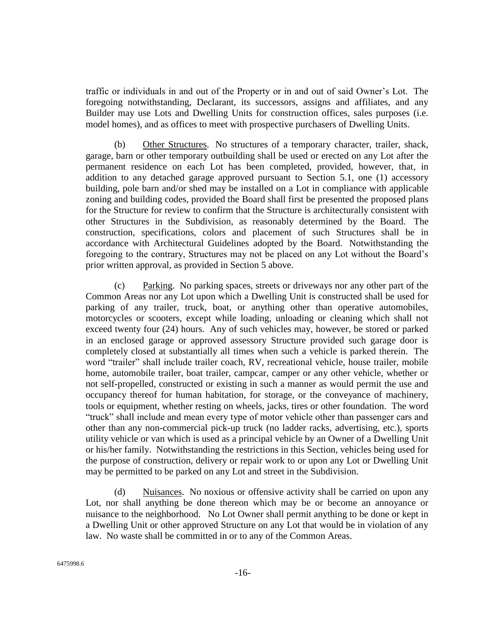traffic or individuals in and out of the Property or in and out of said Owner's Lot. The foregoing notwithstanding, Declarant, its successors, assigns and affiliates, and any Builder may use Lots and Dwelling Units for construction offices, sales purposes (i.e. model homes), and as offices to meet with prospective purchasers of Dwelling Units.

(b) Other Structures. No structures of a temporary character, trailer, shack, garage, barn or other temporary outbuilding shall be used or erected on any Lot after the permanent residence on each Lot has been completed, provided, however, that, in addition to any detached garage approved pursuant to Section [5.1,](#page-12-0) one (1) accessory building, pole barn and/or shed may be installed on a Lot in compliance with applicable zoning and building codes, provided the Board shall first be presented the proposed plans for the Structure for review to confirm that the Structure is architecturally consistent with other Structures in the Subdivision, as reasonably determined by the Board. The construction, specifications, colors and placement of such Structures shall be in accordance with Architectural Guidelines adopted by the Board. Notwithstanding the foregoing to the contrary, Structures may not be placed on any Lot without the Board's prior written approval, as provided in Section 5 above.

(c) Parking. No parking spaces, streets or driveways nor any other part of the Common Areas nor any Lot upon which a Dwelling Unit is constructed shall be used for parking of any trailer, truck, boat, or anything other than operative automobiles, motorcycles or scooters, except while loading, unloading or cleaning which shall not exceed twenty four (24) hours. Any of such vehicles may, however, be stored or parked in an enclosed garage or approved assessory Structure provided such garage door is completely closed at substantially all times when such a vehicle is parked therein. The word "trailer" shall include trailer coach, RV, recreational vehicle, house trailer, mobile home, automobile trailer, boat trailer, campcar, camper or any other vehicle, whether or not self-propelled, constructed or existing in such a manner as would permit the use and occupancy thereof for human habitation, for storage, or the conveyance of machinery, tools or equipment, whether resting on wheels, jacks, tires or other foundation. The word "truck" shall include and mean every type of motor vehicle other than passenger cars and other than any non-commercial pick-up truck (no ladder racks, advertising, etc.), sports utility vehicle or van which is used as a principal vehicle by an Owner of a Dwelling Unit or his/her family. Notwithstanding the restrictions in this Section, vehicles being used for the purpose of construction, delivery or repair work to or upon any Lot or Dwelling Unit may be permitted to be parked on any Lot and street in the Subdivision.

(d) Nuisances. No noxious or offensive activity shall be carried on upon any Lot, nor shall anything be done thereon which may be or become an annoyance or nuisance to the neighborhood. No Lot Owner shall permit anything to be done or kept in a Dwelling Unit or other approved Structure on any Lot that would be in violation of any law. No waste shall be committed in or to any of the Common Areas.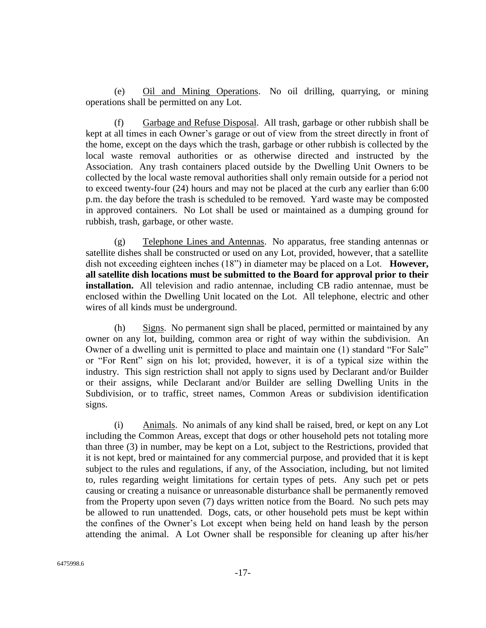(e) Oil and Mining Operations. No oil drilling, quarrying, or mining operations shall be permitted on any Lot.

(f) Garbage and Refuse Disposal. All trash, garbage or other rubbish shall be kept at all times in each Owner's garage or out of view from the street directly in front of the home, except on the days which the trash, garbage or other rubbish is collected by the local waste removal authorities or as otherwise directed and instructed by the Association. Any trash containers placed outside by the Dwelling Unit Owners to be collected by the local waste removal authorities shall only remain outside for a period not to exceed twenty-four (24) hours and may not be placed at the curb any earlier than 6:00 p.m. the day before the trash is scheduled to be removed. Yard waste may be composted in approved containers. No Lot shall be used or maintained as a dumping ground for rubbish, trash, garbage, or other waste.

(g) Telephone Lines and Antennas. No apparatus, free standing antennas or satellite dishes shall be constructed or used on any Lot, provided, however, that a satellite dish not exceeding eighteen inches (18") in diameter may be placed on a Lot. **However, all satellite dish locations must be submitted to the Board for approval prior to their installation.** All television and radio antennae, including CB radio antennae, must be enclosed within the Dwelling Unit located on the Lot. All telephone, electric and other wires of all kinds must be underground.

(h) Signs. No permanent sign shall be placed, permitted or maintained by any owner on any lot, building, common area or right of way within the subdivision. An Owner of a dwelling unit is permitted to place and maintain one (1) standard "For Sale" or "For Rent" sign on his lot; provided, however, it is of a typical size within the industry. This sign restriction shall not apply to signs used by Declarant and/or Builder or their assigns, while Declarant and/or Builder are selling Dwelling Units in the Subdivision, or to traffic, street names, Common Areas or subdivision identification signs.

(i) Animals. No animals of any kind shall be raised, bred, or kept on any Lot including the Common Areas, except that dogs or other household pets not totaling more than three (3) in number, may be kept on a Lot, subject to the Restrictions, provided that it is not kept, bred or maintained for any commercial purpose, and provided that it is kept subject to the rules and regulations, if any, of the Association, including, but not limited to, rules regarding weight limitations for certain types of pets. Any such pet or pets causing or creating a nuisance or unreasonable disturbance shall be permanently removed from the Property upon seven (7) days written notice from the Board. No such pets may be allowed to run unattended. Dogs, cats, or other household pets must be kept within the confines of the Owner's Lot except when being held on hand leash by the person attending the animal. A Lot Owner shall be responsible for cleaning up after his/her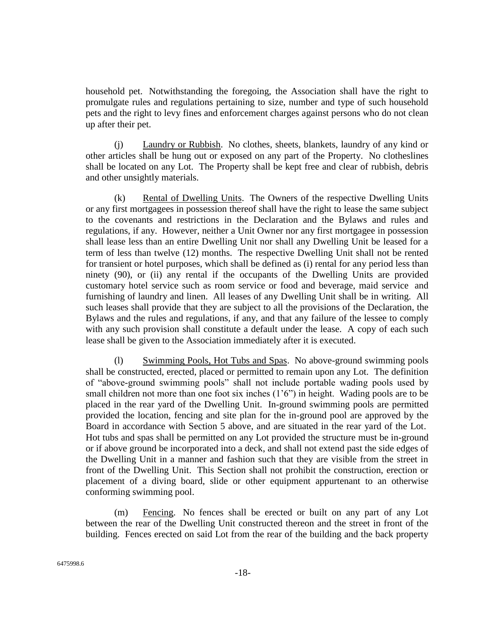household pet. Notwithstanding the foregoing, the Association shall have the right to promulgate rules and regulations pertaining to size, number and type of such household pets and the right to levy fines and enforcement charges against persons who do not clean up after their pet.

(j) Laundry or Rubbish. No clothes, sheets, blankets, laundry of any kind or other articles shall be hung out or exposed on any part of the Property. No clotheslines shall be located on any Lot. The Property shall be kept free and clear of rubbish, debris and other unsightly materials.

(k) Rental of Dwelling Units. The Owners of the respective Dwelling Units or any first mortgagees in possession thereof shall have the right to lease the same subject to the covenants and restrictions in the Declaration and the Bylaws and rules and regulations, if any. However, neither a Unit Owner nor any first mortgagee in possession shall lease less than an entire Dwelling Unit nor shall any Dwelling Unit be leased for a term of less than twelve (12) months. The respective Dwelling Unit shall not be rented for transient or hotel purposes, which shall be defined as (i) rental for any period less than ninety (90), or (ii) any rental if the occupants of the Dwelling Units are provided customary hotel service such as room service or food and beverage, maid service and furnishing of laundry and linen. All leases of any Dwelling Unit shall be in writing. All such leases shall provide that they are subject to all the provisions of the Declaration, the Bylaws and the rules and regulations, if any, and that any failure of the lessee to comply with any such provision shall constitute a default under the lease. A copy of each such lease shall be given to the Association immediately after it is executed.

(l) Swimming Pools, Hot Tubs and Spas. No above-ground swimming pools shall be constructed, erected, placed or permitted to remain upon any Lot. The definition of "above-ground swimming pools" shall not include portable wading pools used by small children not more than one foot six inches (1'6") in height. Wading pools are to be placed in the rear yard of the Dwelling Unit. In-ground swimming pools are permitted provided the location, fencing and site plan for the in-ground pool are approved by the Board in accordance with Section 5 above, and are situated in the rear yard of the Lot. Hot tubs and spas shall be permitted on any Lot provided the structure must be in-ground or if above ground be incorporated into a deck, and shall not extend past the side edges of the Dwelling Unit in a manner and fashion such that they are visible from the street in front of the Dwelling Unit. This Section shall not prohibit the construction, erection or placement of a diving board, slide or other equipment appurtenant to an otherwise conforming swimming pool.

(m) Fencing. No fences shall be erected or built on any part of any Lot between the rear of the Dwelling Unit constructed thereon and the street in front of the building. Fences erected on said Lot from the rear of the building and the back property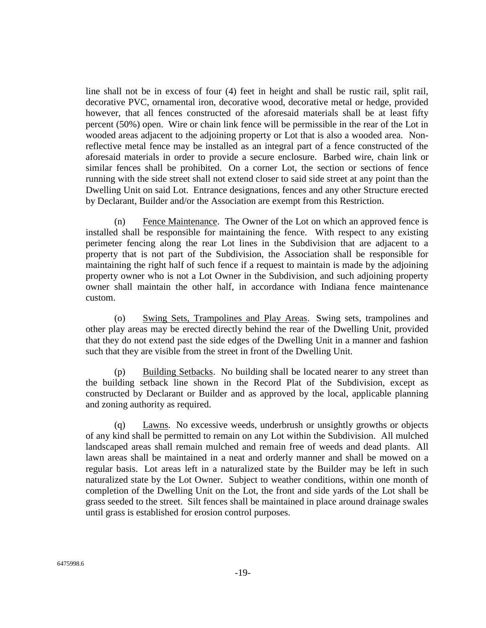line shall not be in excess of four (4) feet in height and shall be rustic rail, split rail, decorative PVC, ornamental iron, decorative wood, decorative metal or hedge, provided however, that all fences constructed of the aforesaid materials shall be at least fifty percent (50%) open. Wire or chain link fence will be permissible in the rear of the Lot in wooded areas adjacent to the adjoining property or Lot that is also a wooded area. Nonreflective metal fence may be installed as an integral part of a fence constructed of the aforesaid materials in order to provide a secure enclosure. Barbed wire, chain link or similar fences shall be prohibited. On a corner Lot, the section or sections of fence running with the side street shall not extend closer to said side street at any point than the Dwelling Unit on said Lot. Entrance designations, fences and any other Structure erected by Declarant, Builder and/or the Association are exempt from this Restriction.

(n) Fence Maintenance. The Owner of the Lot on which an approved fence is installed shall be responsible for maintaining the fence. With respect to any existing perimeter fencing along the rear Lot lines in the Subdivision that are adjacent to a property that is not part of the Subdivision, the Association shall be responsible for maintaining the right half of such fence if a request to maintain is made by the adjoining property owner who is not a Lot Owner in the Subdivision, and such adjoining property owner shall maintain the other half, in accordance with Indiana fence maintenance custom.

(o) Swing Sets, Trampolines and Play Areas. Swing sets, trampolines and other play areas may be erected directly behind the rear of the Dwelling Unit, provided that they do not extend past the side edges of the Dwelling Unit in a manner and fashion such that they are visible from the street in front of the Dwelling Unit.

(p) Building Setbacks. No building shall be located nearer to any street than the building setback line shown in the Record Plat of the Subdivision, except as constructed by Declarant or Builder and as approved by the local, applicable planning and zoning authority as required.

(q) Lawns. No excessive weeds, underbrush or unsightly growths or objects of any kind shall be permitted to remain on any Lot within the Subdivision. All mulched landscaped areas shall remain mulched and remain free of weeds and dead plants. All lawn areas shall be maintained in a neat and orderly manner and shall be mowed on a regular basis. Lot areas left in a naturalized state by the Builder may be left in such naturalized state by the Lot Owner. Subject to weather conditions, within one month of completion of the Dwelling Unit on the Lot, the front and side yards of the Lot shall be grass seeded to the street. Silt fences shall be maintained in place around drainage swales until grass is established for erosion control purposes.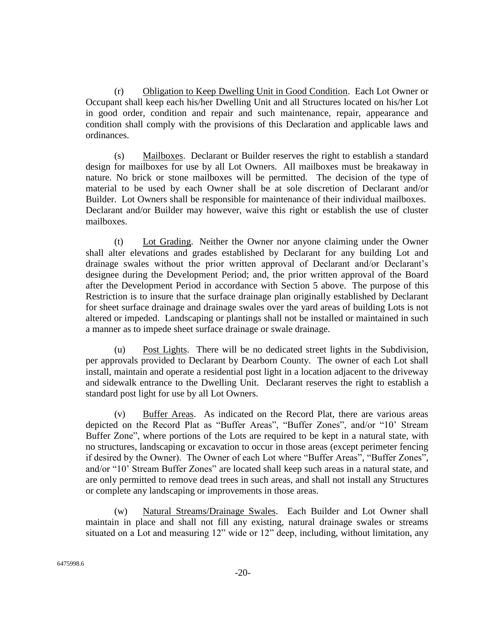(r) Obligation to Keep Dwelling Unit in Good Condition. Each Lot Owner or Occupant shall keep each his/her Dwelling Unit and all Structures located on his/her Lot in good order, condition and repair and such maintenance, repair, appearance and condition shall comply with the provisions of this Declaration and applicable laws and ordinances.

(s) Mailboxes. Declarant or Builder reserves the right to establish a standard design for mailboxes for use by all Lot Owners. All mailboxes must be breakaway in nature. No brick or stone mailboxes will be permitted. The decision of the type of material to be used by each Owner shall be at sole discretion of Declarant and/or Builder. Lot Owners shall be responsible for maintenance of their individual mailboxes. Declarant and/or Builder may however, waive this right or establish the use of cluster mailboxes.

(t) Lot Grading. Neither the Owner nor anyone claiming under the Owner shall alter elevations and grades established by Declarant for any building Lot and drainage swales without the prior written approval of Declarant and/or Declarant's designee during the Development Period; and, the prior written approval of the Board after the Development Period in accordance with Section 5 above. The purpose of this Restriction is to insure that the surface drainage plan originally established by Declarant for sheet surface drainage and drainage swales over the yard areas of building Lots is not altered or impeded. Landscaping or plantings shall not be installed or maintained in such a manner as to impede sheet surface drainage or swale drainage.

(u) Post Lights. There will be no dedicated street lights in the Subdivision, per approvals provided to Declarant by Dearborn County. The owner of each Lot shall install, maintain and operate a residential post light in a location adjacent to the driveway and sidewalk entrance to the Dwelling Unit. Declarant reserves the right to establish a standard post light for use by all Lot Owners.

(v) Buffer Areas. As indicated on the Record Plat, there are various areas depicted on the Record Plat as "Buffer Areas", "Buffer Zones", and/or "10' Stream Buffer Zone", where portions of the Lots are required to be kept in a natural state, with no structures, landscaping or excavation to occur in those areas (except perimeter fencing if desired by the Owner). The Owner of each Lot where "Buffer Areas", "Buffer Zones", and/or "10' Stream Buffer Zones" are located shall keep such areas in a natural state, and are only permitted to remove dead trees in such areas, and shall not install any Structures or complete any landscaping or improvements in those areas.

(w) Natural Streams/Drainage Swales. Each Builder and Lot Owner shall maintain in place and shall not fill any existing, natural drainage swales or streams situated on a Lot and measuring 12" wide or 12" deep, including, without limitation, any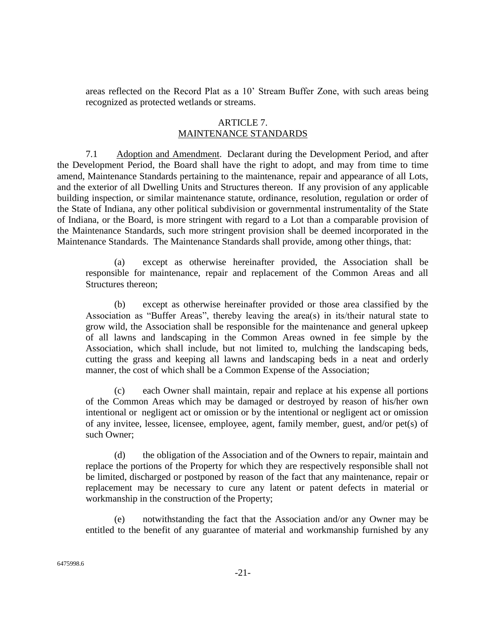areas reflected on the Record Plat as a 10' Stream Buffer Zone, with such areas being recognized as protected wetlands or streams.

### ARTICLE 7. MAINTENANCE STANDARDS

7.1 Adoption and Amendment. Declarant during the Development Period, and after the Development Period, the Board shall have the right to adopt, and may from time to time amend, Maintenance Standards pertaining to the maintenance, repair and appearance of all Lots, and the exterior of all Dwelling Units and Structures thereon. If any provision of any applicable building inspection, or similar maintenance statute, ordinance, resolution, regulation or order of the State of Indiana, any other political subdivision or governmental instrumentality of the State of Indiana, or the Board, is more stringent with regard to a Lot than a comparable provision of the Maintenance Standards, such more stringent provision shall be deemed incorporated in the Maintenance Standards. The Maintenance Standards shall provide, among other things, that:

(a) except as otherwise hereinafter provided, the Association shall be responsible for maintenance, repair and replacement of the Common Areas and all Structures thereon;

(b) except as otherwise hereinafter provided or those area classified by the Association as "Buffer Areas", thereby leaving the area(s) in its/their natural state to grow wild, the Association shall be responsible for the maintenance and general upkeep of all lawns and landscaping in the Common Areas owned in fee simple by the Association, which shall include, but not limited to, mulching the landscaping beds, cutting the grass and keeping all lawns and landscaping beds in a neat and orderly manner, the cost of which shall be a Common Expense of the Association;

(c) each Owner shall maintain, repair and replace at his expense all portions of the Common Areas which may be damaged or destroyed by reason of his/her own intentional or negligent act or omission or by the intentional or negligent act or omission of any invitee, lessee, licensee, employee, agent, family member, guest, and/or pet(s) of such Owner;

(d) the obligation of the Association and of the Owners to repair, maintain and replace the portions of the Property for which they are respectively responsible shall not be limited, discharged or postponed by reason of the fact that any maintenance, repair or replacement may be necessary to cure any latent or patent defects in material or workmanship in the construction of the Property;

(e) notwithstanding the fact that the Association and/or any Owner may be entitled to the benefit of any guarantee of material and workmanship furnished by any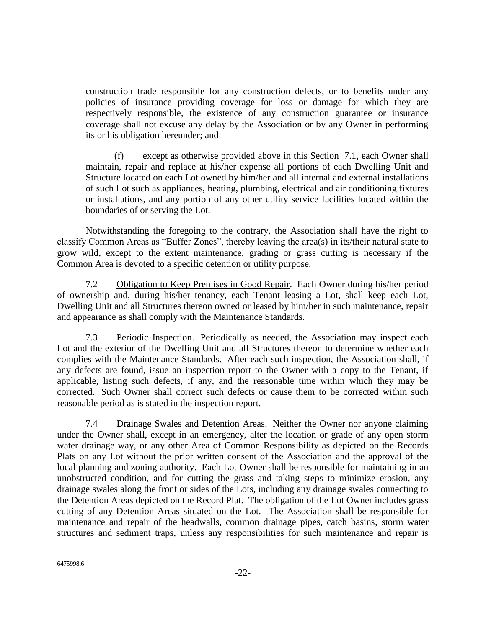construction trade responsible for any construction defects, or to benefits under any policies of insurance providing coverage for loss or damage for which they are respectively responsible, the existence of any construction guarantee or insurance coverage shall not excuse any delay by the Association or by any Owner in performing its or his obligation hereunder; and

(f) except as otherwise provided above in this Section 7.1, each Owner shall maintain, repair and replace at his/her expense all portions of each Dwelling Unit and Structure located on each Lot owned by him/her and all internal and external installations of such Lot such as appliances, heating, plumbing, electrical and air conditioning fixtures or installations, and any portion of any other utility service facilities located within the boundaries of or serving the Lot.

Notwithstanding the foregoing to the contrary, the Association shall have the right to classify Common Areas as "Buffer Zones", thereby leaving the area(s) in its/their natural state to grow wild, except to the extent maintenance, grading or grass cutting is necessary if the Common Area is devoted to a specific detention or utility purpose.

7.2 Obligation to Keep Premises in Good Repair. Each Owner during his/her period of ownership and, during his/her tenancy, each Tenant leasing a Lot, shall keep each Lot, Dwelling Unit and all Structures thereon owned or leased by him/her in such maintenance, repair and appearance as shall comply with the Maintenance Standards.

7.3 Periodic Inspection. Periodically as needed, the Association may inspect each Lot and the exterior of the Dwelling Unit and all Structures thereon to determine whether each complies with the Maintenance Standards. After each such inspection, the Association shall, if any defects are found, issue an inspection report to the Owner with a copy to the Tenant, if applicable, listing such defects, if any, and the reasonable time within which they may be corrected. Such Owner shall correct such defects or cause them to be corrected within such reasonable period as is stated in the inspection report.

7.4 Drainage Swales and Detention Areas. Neither the Owner nor anyone claiming under the Owner shall, except in an emergency, alter the location or grade of any open storm water drainage way, or any other Area of Common Responsibility as depicted on the Records Plats on any Lot without the prior written consent of the Association and the approval of the local planning and zoning authority. Each Lot Owner shall be responsible for maintaining in an unobstructed condition, and for cutting the grass and taking steps to minimize erosion, any drainage swales along the front or sides of the Lots, including any drainage swales connecting to the Detention Areas depicted on the Record Plat. The obligation of the Lot Owner includes grass cutting of any Detention Areas situated on the Lot. The Association shall be responsible for maintenance and repair of the headwalls, common drainage pipes, catch basins, storm water structures and sediment traps, unless any responsibilities for such maintenance and repair is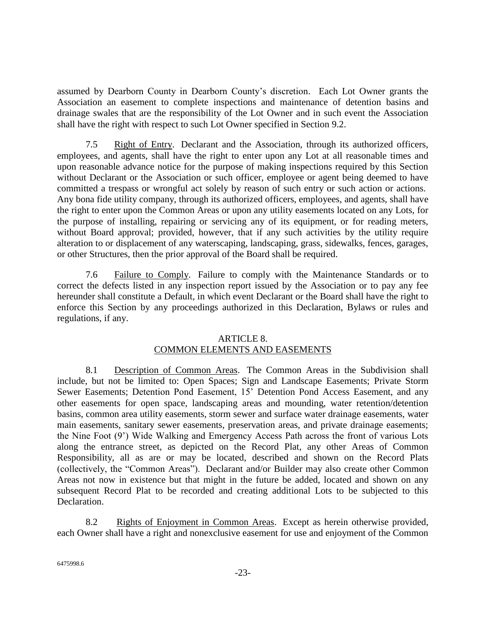assumed by Dearborn County in Dearborn County's discretion. Each Lot Owner grants the Association an easement to complete inspections and maintenance of detention basins and drainage swales that are the responsibility of the Lot Owner and in such event the Association shall have the right with respect to such Lot Owner specified in Section [9.2.](#page-26-0)

7.5 Right of Entry. Declarant and the Association, through its authorized officers, employees, and agents, shall have the right to enter upon any Lot at all reasonable times and upon reasonable advance notice for the purpose of making inspections required by this Section without Declarant or the Association or such officer, employee or agent being deemed to have committed a trespass or wrongful act solely by reason of such entry or such action or actions. Any bona fide utility company, through its authorized officers, employees, and agents, shall have the right to enter upon the Common Areas or upon any utility easements located on any Lots, for the purpose of installing, repairing or servicing any of its equipment, or for reading meters, without Board approval; provided, however, that if any such activities by the utility require alteration to or displacement of any waterscaping, landscaping, grass, sidewalks, fences, garages, or other Structures, then the prior approval of the Board shall be required.

7.6 Failure to Comply. Failure to comply with the Maintenance Standards or to correct the defects listed in any inspection report issued by the Association or to pay any fee hereunder shall constitute a Default, in which event Declarant or the Board shall have the right to enforce this Section by any proceedings authorized in this Declaration, Bylaws or rules and regulations, if any.

# ARTICLE 8. COMMON ELEMENTS AND EASEMENTS

8.1 Description of Common Areas. The Common Areas in the Subdivision shall include, but not be limited to: Open Spaces; Sign and Landscape Easements; Private Storm Sewer Easements; Detention Pond Easement, 15' Detention Pond Access Easement, and any other easements for open space, landscaping areas and mounding, water retention/detention basins, common area utility easements, storm sewer and surface water drainage easements, water main easements, sanitary sewer easements, preservation areas, and private drainage easements; the Nine Foot (9') Wide Walking and Emergency Access Path across the front of various Lots along the entrance street, as depicted on the Record Plat, any other Areas of Common Responsibility, all as are or may be located, described and shown on the Record Plats (collectively, the "Common Areas"). Declarant and/or Builder may also create other Common Areas not now in existence but that might in the future be added, located and shown on any subsequent Record Plat to be recorded and creating additional Lots to be subjected to this Declaration.

8.2 Rights of Enjoyment in Common Areas. Except as herein otherwise provided, each Owner shall have a right and nonexclusive easement for use and enjoyment of the Common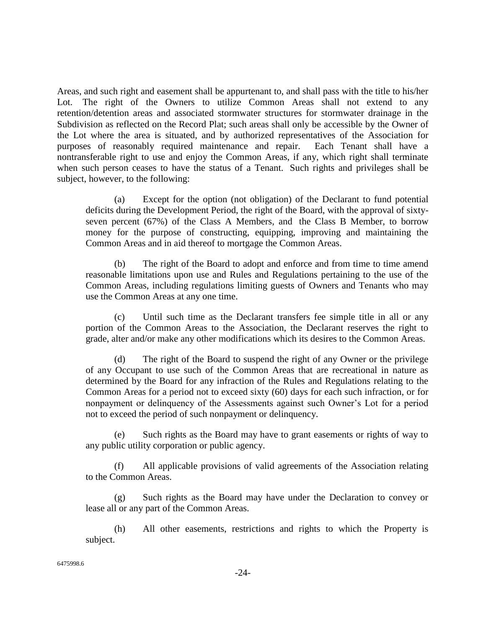Areas, and such right and easement shall be appurtenant to, and shall pass with the title to his/her Lot. The right of the Owners to utilize Common Areas shall not extend to any retention/detention areas and associated stormwater structures for stormwater drainage in the Subdivision as reflected on the Record Plat; such areas shall only be accessible by the Owner of the Lot where the area is situated, and by authorized representatives of the Association for purposes of reasonably required maintenance and repair. Each Tenant shall have a nontransferable right to use and enjoy the Common Areas, if any, which right shall terminate when such person ceases to have the status of a Tenant. Such rights and privileges shall be subject, however, to the following:

(a) Except for the option (not obligation) of the Declarant to fund potential deficits during the Development Period, the right of the Board, with the approval of sixtyseven percent (67%) of the Class A Members, and the Class B Member, to borrow money for the purpose of constructing, equipping, improving and maintaining the Common Areas and in aid thereof to mortgage the Common Areas.

(b) The right of the Board to adopt and enforce and from time to time amend reasonable limitations upon use and Rules and Regulations pertaining to the use of the Common Areas, including regulations limiting guests of Owners and Tenants who may use the Common Areas at any one time.

(c) Until such time as the Declarant transfers fee simple title in all or any portion of the Common Areas to the Association, the Declarant reserves the right to grade, alter and/or make any other modifications which its desires to the Common Areas.

(d) The right of the Board to suspend the right of any Owner or the privilege of any Occupant to use such of the Common Areas that are recreational in nature as determined by the Board for any infraction of the Rules and Regulations relating to the Common Areas for a period not to exceed sixty (60) days for each such infraction, or for nonpayment or delinquency of the Assessments against such Owner's Lot for a period not to exceed the period of such nonpayment or delinquency.

(e) Such rights as the Board may have to grant easements or rights of way to any public utility corporation or public agency.

(f) All applicable provisions of valid agreements of the Association relating to the Common Areas.

(g) Such rights as the Board may have under the Declaration to convey or lease all or any part of the Common Areas.

(h) All other easements, restrictions and rights to which the Property is subject.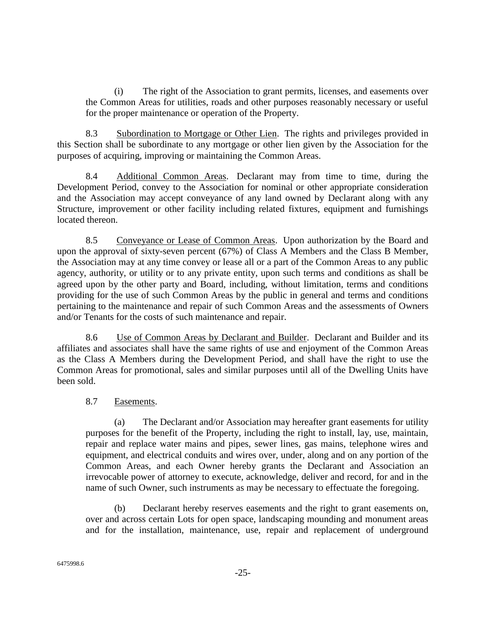(i) The right of the Association to grant permits, licenses, and easements over the Common Areas for utilities, roads and other purposes reasonably necessary or useful for the proper maintenance or operation of the Property.

8.3 Subordination to Mortgage or Other Lien. The rights and privileges provided in this Section shall be subordinate to any mortgage or other lien given by the Association for the purposes of acquiring, improving or maintaining the Common Areas.

8.4 Additional Common Areas. Declarant may from time to time, during the Development Period, convey to the Association for nominal or other appropriate consideration and the Association may accept conveyance of any land owned by Declarant along with any Structure, improvement or other facility including related fixtures, equipment and furnishings located thereon.

8.5 Conveyance or Lease of Common Areas. Upon authorization by the Board and upon the approval of sixty-seven percent (67%) of Class A Members and the Class B Member, the Association may at any time convey or lease all or a part of the Common Areas to any public agency, authority, or utility or to any private entity, upon such terms and conditions as shall be agreed upon by the other party and Board, including, without limitation, terms and conditions providing for the use of such Common Areas by the public in general and terms and conditions pertaining to the maintenance and repair of such Common Areas and the assessments of Owners and/or Tenants for the costs of such maintenance and repair.

8.6 Use of Common Areas by Declarant and Builder. Declarant and Builder and its affiliates and associates shall have the same rights of use and enjoyment of the Common Areas as the Class A Members during the Development Period, and shall have the right to use the Common Areas for promotional, sales and similar purposes until all of the Dwelling Units have been sold.

# 8.7 Easements.

(a) The Declarant and/or Association may hereafter grant easements for utility purposes for the benefit of the Property, including the right to install, lay, use, maintain, repair and replace water mains and pipes, sewer lines, gas mains, telephone wires and equipment, and electrical conduits and wires over, under, along and on any portion of the Common Areas, and each Owner hereby grants the Declarant and Association an irrevocable power of attorney to execute, acknowledge, deliver and record, for and in the name of such Owner, such instruments as may be necessary to effectuate the foregoing.

(b) Declarant hereby reserves easements and the right to grant easements on, over and across certain Lots for open space, landscaping mounding and monument areas and for the installation, maintenance, use, repair and replacement of underground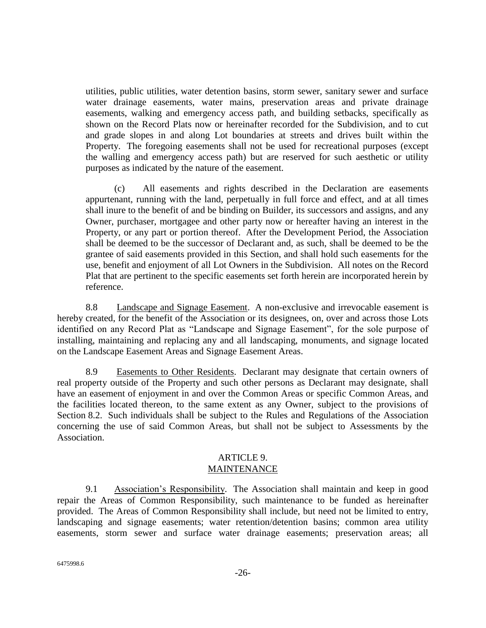utilities, public utilities, water detention basins, storm sewer, sanitary sewer and surface water drainage easements, water mains, preservation areas and private drainage easements, walking and emergency access path, and building setbacks, specifically as shown on the Record Plats now or hereinafter recorded for the Subdivision, and to cut and grade slopes in and along Lot boundaries at streets and drives built within the Property. The foregoing easements shall not be used for recreational purposes (except the walling and emergency access path) but are reserved for such aesthetic or utility purposes as indicated by the nature of the easement.

(c) All easements and rights described in the Declaration are easements appurtenant, running with the land, perpetually in full force and effect, and at all times shall inure to the benefit of and be binding on Builder, its successors and assigns, and any Owner, purchaser, mortgagee and other party now or hereafter having an interest in the Property, or any part or portion thereof. After the Development Period, the Association shall be deemed to be the successor of Declarant and, as such, shall be deemed to be the grantee of said easements provided in this Section, and shall hold such easements for the use, benefit and enjoyment of all Lot Owners in the Subdivision. All notes on the Record Plat that are pertinent to the specific easements set forth herein are incorporated herein by reference.

<span id="page-25-0"></span>8.8 Landscape and Signage Easement. A non-exclusive and irrevocable easement is hereby created, for the benefit of the Association or its designees, on, over and across those Lots identified on any Record Plat as "Landscape and Signage Easement", for the sole purpose of installing, maintaining and replacing any and all landscaping, monuments, and signage located on the Landscape Easement Areas and Signage Easement Areas.

8.9 Easements to Other Residents. Declarant may designate that certain owners of real property outside of the Property and such other persons as Declarant may designate, shall have an easement of enjoyment in and over the Common Areas or specific Common Areas, and the facilities located thereon, to the same extent as any Owner, subject to the provisions of Section 8.2. Such individuals shall be subject to the Rules and Regulations of the Association concerning the use of said Common Areas, but shall not be subject to Assessments by the Association.

#### ARTICLE 9. MAINTENANCE

9.1 Association's Responsibility. The Association shall maintain and keep in good repair the Areas of Common Responsibility, such maintenance to be funded as hereinafter provided. The Areas of Common Responsibility shall include, but need not be limited to entry, landscaping and signage easements; water retention/detention basins; common area utility easements, storm sewer and surface water drainage easements; preservation areas; all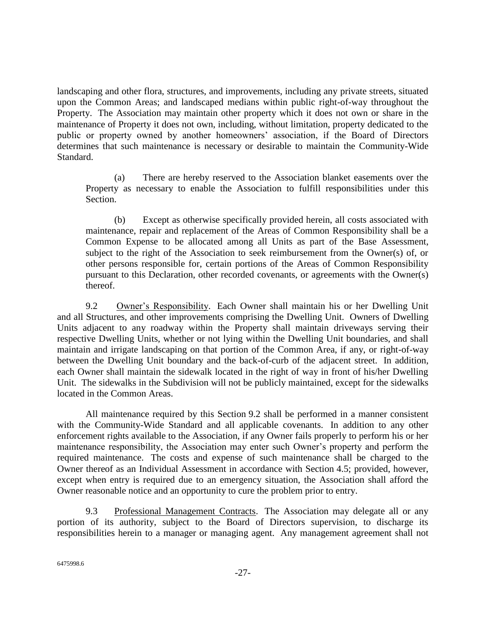landscaping and other flora, structures, and improvements, including any private streets, situated upon the Common Areas; and landscaped medians within public right-of-way throughout the Property. The Association may maintain other property which it does not own or share in the maintenance of Property it does not own, including, without limitation, property dedicated to the public or property owned by another homeowners' association, if the Board of Directors determines that such maintenance is necessary or desirable to maintain the Community-Wide Standard.

(a) There are hereby reserved to the Association blanket easements over the Property as necessary to enable the Association to fulfill responsibilities under this Section.

(b) Except as otherwise specifically provided herein, all costs associated with maintenance, repair and replacement of the Areas of Common Responsibility shall be a Common Expense to be allocated among all Units as part of the Base Assessment, subject to the right of the Association to seek reimbursement from the Owner(s) of, or other persons responsible for, certain portions of the Areas of Common Responsibility pursuant to this Declaration, other recorded covenants, or agreements with the Owner(s) thereof.

<span id="page-26-0"></span>9.2 Owner's Responsibility. Each Owner shall maintain his or her Dwelling Unit and all Structures, and other improvements comprising the Dwelling Unit. Owners of Dwelling Units adjacent to any roadway within the Property shall maintain driveways serving their respective Dwelling Units, whether or not lying within the Dwelling Unit boundaries, and shall maintain and irrigate landscaping on that portion of the Common Area, if any, or right-of-way between the Dwelling Unit boundary and the back-of-curb of the adjacent street. In addition, each Owner shall maintain the sidewalk located in the right of way in front of his/her Dwelling Unit. The sidewalks in the Subdivision will not be publicly maintained, except for the sidewalks located in the Common Areas.

All maintenance required by this Section 9.2 shall be performed in a manner consistent with the Community-Wide Standard and all applicable covenants. In addition to any other enforcement rights available to the Association, if any Owner fails properly to perform his or her maintenance responsibility, the Association may enter such Owner's property and perform the required maintenance. The costs and expense of such maintenance shall be charged to the Owner thereof as an Individual Assessment in accordance with Section 4.5; provided, however, except when entry is required due to an emergency situation, the Association shall afford the Owner reasonable notice and an opportunity to cure the problem prior to entry.

9.3 Professional Management Contracts. The Association may delegate all or any portion of its authority, subject to the Board of Directors supervision, to discharge its responsibilities herein to a manager or managing agent. Any management agreement shall not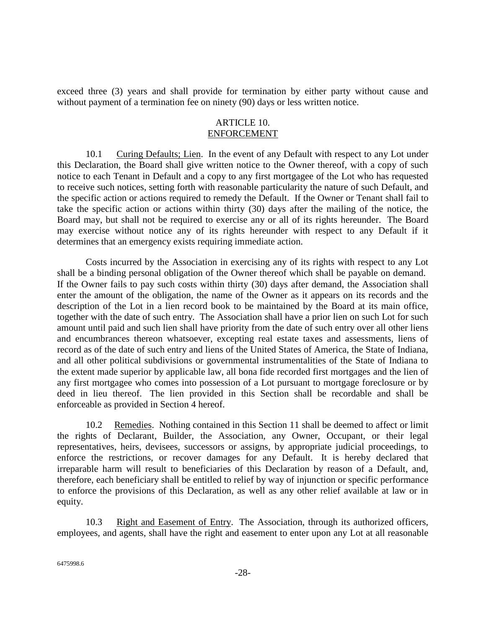exceed three (3) years and shall provide for termination by either party without cause and without payment of a termination fee on ninety (90) days or less written notice.

### ARTICLE 10. ENFORCEMENT

10.1 Curing Defaults; Lien. In the event of any Default with respect to any Lot under this Declaration, the Board shall give written notice to the Owner thereof, with a copy of such notice to each Tenant in Default and a copy to any first mortgagee of the Lot who has requested to receive such notices, setting forth with reasonable particularity the nature of such Default, and the specific action or actions required to remedy the Default. If the Owner or Tenant shall fail to take the specific action or actions within thirty (30) days after the mailing of the notice, the Board may, but shall not be required to exercise any or all of its rights hereunder. The Board may exercise without notice any of its rights hereunder with respect to any Default if it determines that an emergency exists requiring immediate action.

Costs incurred by the Association in exercising any of its rights with respect to any Lot shall be a binding personal obligation of the Owner thereof which shall be payable on demand. If the Owner fails to pay such costs within thirty (30) days after demand, the Association shall enter the amount of the obligation, the name of the Owner as it appears on its records and the description of the Lot in a lien record book to be maintained by the Board at its main office, together with the date of such entry. The Association shall have a prior lien on such Lot for such amount until paid and such lien shall have priority from the date of such entry over all other liens and encumbrances thereon whatsoever, excepting real estate taxes and assessments, liens of record as of the date of such entry and liens of the United States of America, the State of Indiana, and all other political subdivisions or governmental instrumentalities of the State of Indiana to the extent made superior by applicable law, all bona fide recorded first mortgages and the lien of any first mortgagee who comes into possession of a Lot pursuant to mortgage foreclosure or by deed in lieu thereof. The lien provided in this Section shall be recordable and shall be enforceable as provided in Section 4 hereof.

10.2 Remedies. Nothing contained in this Section 11 shall be deemed to affect or limit the rights of Declarant, Builder, the Association, any Owner, Occupant, or their legal representatives, heirs, devisees, successors or assigns, by appropriate judicial proceedings, to enforce the restrictions, or recover damages for any Default. It is hereby declared that irreparable harm will result to beneficiaries of this Declaration by reason of a Default, and, therefore, each beneficiary shall be entitled to relief by way of injunction or specific performance to enforce the provisions of this Declaration, as well as any other relief available at law or in equity.

10.3 Right and Easement of Entry. The Association, through its authorized officers, employees, and agents, shall have the right and easement to enter upon any Lot at all reasonable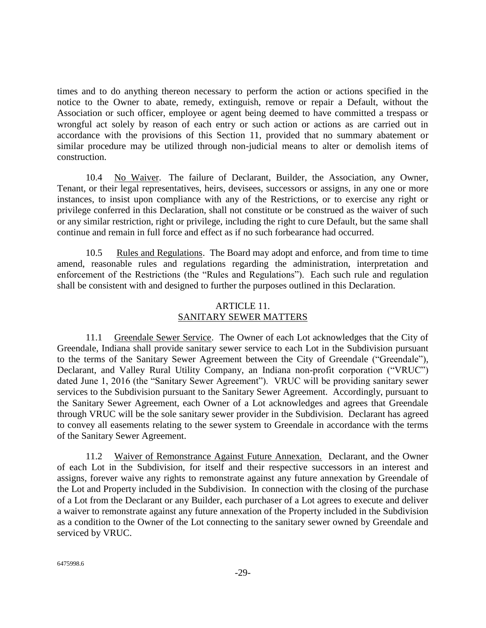times and to do anything thereon necessary to perform the action or actions specified in the notice to the Owner to abate, remedy, extinguish, remove or repair a Default, without the Association or such officer, employee or agent being deemed to have committed a trespass or wrongful act solely by reason of each entry or such action or actions as are carried out in accordance with the provisions of this Section 11, provided that no summary abatement or similar procedure may be utilized through non-judicial means to alter or demolish items of construction.

10.4 No Waiver. The failure of Declarant, Builder, the Association, any Owner, Tenant, or their legal representatives, heirs, devisees, successors or assigns, in any one or more instances, to insist upon compliance with any of the Restrictions, or to exercise any right or privilege conferred in this Declaration, shall not constitute or be construed as the waiver of such or any similar restriction, right or privilege, including the right to cure Default, but the same shall continue and remain in full force and effect as if no such forbearance had occurred.

10.5 Rules and Regulations. The Board may adopt and enforce, and from time to time amend, reasonable rules and regulations regarding the administration, interpretation and enforcement of the Restrictions (the "Rules and Regulations"). Each such rule and regulation shall be consistent with and designed to further the purposes outlined in this Declaration.

# ARTICLE 11. SANITARY SEWER MATTERS

11.1 Greendale Sewer Service. The Owner of each Lot acknowledges that the City of Greendale, Indiana shall provide sanitary sewer service to each Lot in the Subdivision pursuant to the terms of the Sanitary Sewer Agreement between the City of Greendale ("Greendale"), Declarant, and Valley Rural Utility Company, an Indiana non-profit corporation ("VRUC") dated June 1, 2016 (the "Sanitary Sewer Agreement"). VRUC will be providing sanitary sewer services to the Subdivision pursuant to the Sanitary Sewer Agreement. Accordingly, pursuant to the Sanitary Sewer Agreement, each Owner of a Lot acknowledges and agrees that Greendale through VRUC will be the sole sanitary sewer provider in the Subdivision. Declarant has agreed to convey all easements relating to the sewer system to Greendale in accordance with the terms of the Sanitary Sewer Agreement.

11.2 Waiver of Remonstrance Against Future Annexation. Declarant, and the Owner of each Lot in the Subdivision, for itself and their respective successors in an interest and assigns, forever waive any rights to remonstrate against any future annexation by Greendale of the Lot and Property included in the Subdivision. In connection with the closing of the purchase of a Lot from the Declarant or any Builder, each purchaser of a Lot agrees to execute and deliver a waiver to remonstrate against any future annexation of the Property included in the Subdivision as a condition to the Owner of the Lot connecting to the sanitary sewer owned by Greendale and serviced by VRUC.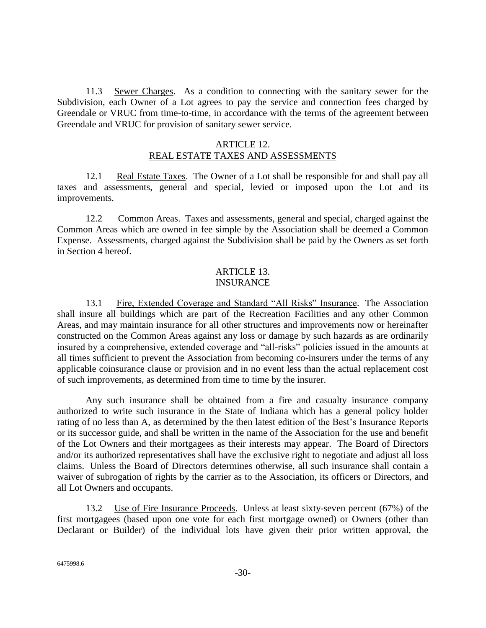11.3 Sewer Charges. As a condition to connecting with the sanitary sewer for the Subdivision, each Owner of a Lot agrees to pay the service and connection fees charged by Greendale or VRUC from time-to-time, in accordance with the terms of the agreement between Greendale and VRUC for provision of sanitary sewer service.

### ARTICLE 12. REAL ESTATE TAXES AND ASSESSMENTS

12.1 Real Estate Taxes. The Owner of a Lot shall be responsible for and shall pay all taxes and assessments, general and special, levied or imposed upon the Lot and its improvements.

12.2 Common Areas. Taxes and assessments, general and special, charged against the Common Areas which are owned in fee simple by the Association shall be deemed a Common Expense. Assessments, charged against the Subdivision shall be paid by the Owners as set forth in Section 4 hereof.

### ARTICLE 13. INSURANCE

13.1 Fire, Extended Coverage and Standard "All Risks" Insurance. The Association shall insure all buildings which are part of the Recreation Facilities and any other Common Areas, and may maintain insurance for all other structures and improvements now or hereinafter constructed on the Common Areas against any loss or damage by such hazards as are ordinarily insured by a comprehensive, extended coverage and "all-risks" policies issued in the amounts at all times sufficient to prevent the Association from becoming co-insurers under the terms of any applicable coinsurance clause or provision and in no event less than the actual replacement cost of such improvements, as determined from time to time by the insurer.

Any such insurance shall be obtained from a fire and casualty insurance company authorized to write such insurance in the State of Indiana which has a general policy holder rating of no less than A, as determined by the then latest edition of the Best's Insurance Reports or its successor guide, and shall be written in the name of the Association for the use and benefit of the Lot Owners and their mortgagees as their interests may appear. The Board of Directors and/or its authorized representatives shall have the exclusive right to negotiate and adjust all loss claims. Unless the Board of Directors determines otherwise, all such insurance shall contain a waiver of subrogation of rights by the carrier as to the Association, its officers or Directors, and all Lot Owners and occupants.

13.2 Use of Fire Insurance Proceeds. Unless at least sixty-seven percent (67%) of the first mortgagees (based upon one vote for each first mortgage owned) or Owners (other than Declarant or Builder) of the individual lots have given their prior written approval, the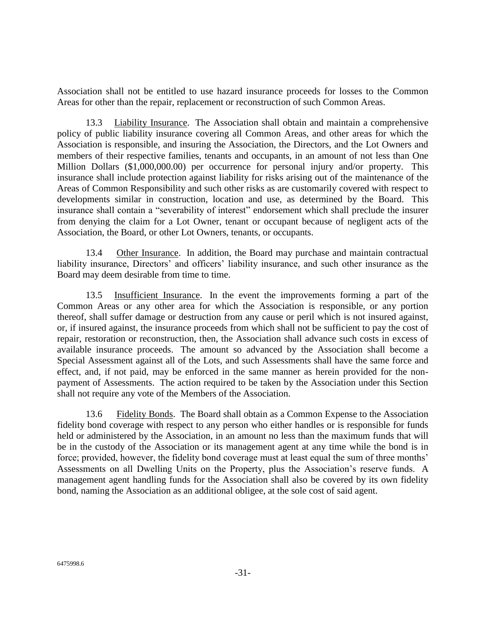Association shall not be entitled to use hazard insurance proceeds for losses to the Common Areas for other than the repair, replacement or reconstruction of such Common Areas.

13.3 Liability Insurance. The Association shall obtain and maintain a comprehensive policy of public liability insurance covering all Common Areas, and other areas for which the Association is responsible, and insuring the Association, the Directors, and the Lot Owners and members of their respective families, tenants and occupants, in an amount of not less than One Million Dollars (\$1,000,000.00) per occurrence for personal injury and/or property. This insurance shall include protection against liability for risks arising out of the maintenance of the Areas of Common Responsibility and such other risks as are customarily covered with respect to developments similar in construction, location and use, as determined by the Board. This insurance shall contain a "severability of interest" endorsement which shall preclude the insurer from denying the claim for a Lot Owner, tenant or occupant because of negligent acts of the Association, the Board, or other Lot Owners, tenants, or occupants.

13.4 Other Insurance. In addition, the Board may purchase and maintain contractual liability insurance, Directors' and officers' liability insurance, and such other insurance as the Board may deem desirable from time to time.

13.5 Insufficient Insurance. In the event the improvements forming a part of the Common Areas or any other area for which the Association is responsible, or any portion thereof, shall suffer damage or destruction from any cause or peril which is not insured against, or, if insured against, the insurance proceeds from which shall not be sufficient to pay the cost of repair, restoration or reconstruction, then, the Association shall advance such costs in excess of available insurance proceeds. The amount so advanced by the Association shall become a Special Assessment against all of the Lots, and such Assessments shall have the same force and effect, and, if not paid, may be enforced in the same manner as herein provided for the nonpayment of Assessments. The action required to be taken by the Association under this Section shall not require any vote of the Members of the Association.

13.6 Fidelity Bonds. The Board shall obtain as a Common Expense to the Association fidelity bond coverage with respect to any person who either handles or is responsible for funds held or administered by the Association, in an amount no less than the maximum funds that will be in the custody of the Association or its management agent at any time while the bond is in force; provided, however, the fidelity bond coverage must at least equal the sum of three months' Assessments on all Dwelling Units on the Property, plus the Association's reserve funds. A management agent handling funds for the Association shall also be covered by its own fidelity bond, naming the Association as an additional obligee, at the sole cost of said agent.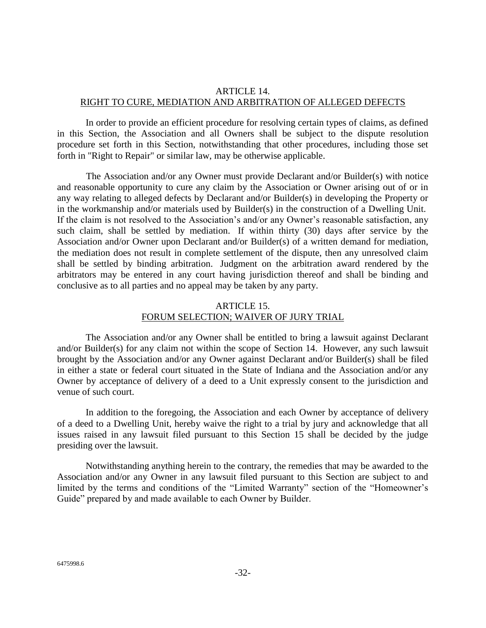# ARTICLE 14. RIGHT TO CURE, MEDIATION AND ARBITRATION OF ALLEGED DEFECTS

In order to provide an efficient procedure for resolving certain types of claims, as defined in this Section, the Association and all Owners shall be subject to the dispute resolution procedure set forth in this Section, notwithstanding that other procedures, including those set forth in "Right to Repair" or similar law, may be otherwise applicable.

 The Association and/or any Owner must provide Declarant and/or Builder(s) with notice and reasonable opportunity to cure any claim by the Association or Owner arising out of or in any way relating to alleged defects by Declarant and/or Builder(s) in developing the Property or in the workmanship and/or materials used by Builder(s) in the construction of a Dwelling Unit. If the claim is not resolved to the Association's and/or any Owner's reasonable satisfaction, any such claim, shall be settled by mediation. If within thirty (30) days after service by the Association and/or Owner upon Declarant and/or Builder(s) of a written demand for mediation, the mediation does not result in complete settlement of the dispute, then any unresolved claim shall be settled by binding arbitration. Judgment on the arbitration award rendered by the arbitrators may be entered in any court having jurisdiction thereof and shall be binding and conclusive as to all parties and no appeal may be taken by any party.

# ARTICLE 15. FORUM SELECTION; WAIVER OF JURY TRIAL

The Association and/or any Owner shall be entitled to bring a lawsuit against Declarant and/or Builder(s) for any claim not within the scope of Section 14. However, any such lawsuit brought by the Association and/or any Owner against Declarant and/or Builder(s) shall be filed in either a state or federal court situated in the State of Indiana and the Association and/or any Owner by acceptance of delivery of a deed to a Unit expressly consent to the jurisdiction and venue of such court.

In addition to the foregoing, the Association and each Owner by acceptance of delivery of a deed to a Dwelling Unit, hereby waive the right to a trial by jury and acknowledge that all issues raised in any lawsuit filed pursuant to this Section 15 shall be decided by the judge presiding over the lawsuit.

Notwithstanding anything herein to the contrary, the remedies that may be awarded to the Association and/or any Owner in any lawsuit filed pursuant to this Section are subject to and limited by the terms and conditions of the "Limited Warranty" section of the "Homeowner's Guide" prepared by and made available to each Owner by Builder.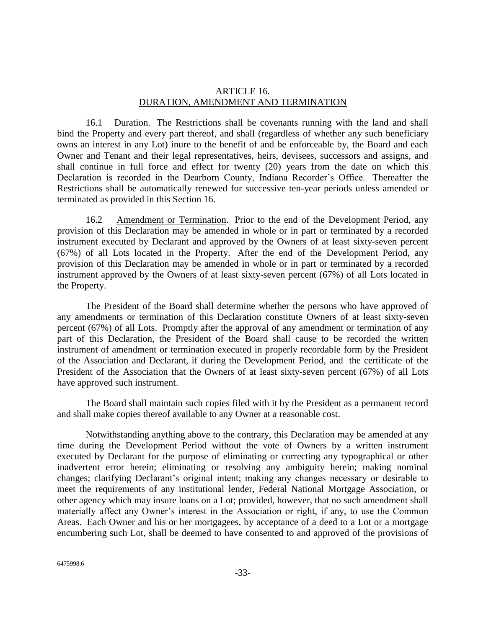### ARTICLE 16. DURATION, AMENDMENT AND TERMINATION

16.1 Duration. The Restrictions shall be covenants running with the land and shall bind the Property and every part thereof, and shall (regardless of whether any such beneficiary owns an interest in any Lot) inure to the benefit of and be enforceable by, the Board and each Owner and Tenant and their legal representatives, heirs, devisees, successors and assigns, and shall continue in full force and effect for twenty (20) years from the date on which this Declaration is recorded in the Dearborn County, Indiana Recorder's Office. Thereafter the Restrictions shall be automatically renewed for successive ten-year periods unless amended or terminated as provided in this Section 16.

16.2 Amendment or Termination. Prior to the end of the Development Period, any provision of this Declaration may be amended in whole or in part or terminated by a recorded instrument executed by Declarant and approved by the Owners of at least sixty-seven percent (67%) of all Lots located in the Property. After the end of the Development Period, any provision of this Declaration may be amended in whole or in part or terminated by a recorded instrument approved by the Owners of at least sixty-seven percent (67%) of all Lots located in the Property.

The President of the Board shall determine whether the persons who have approved of any amendments or termination of this Declaration constitute Owners of at least sixty-seven percent (67%) of all Lots. Promptly after the approval of any amendment or termination of any part of this Declaration, the President of the Board shall cause to be recorded the written instrument of amendment or termination executed in properly recordable form by the President of the Association and Declarant, if during the Development Period, and the certificate of the President of the Association that the Owners of at least sixty-seven percent (67%) of all Lots have approved such instrument.

The Board shall maintain such copies filed with it by the President as a permanent record and shall make copies thereof available to any Owner at a reasonable cost.

Notwithstanding anything above to the contrary, this Declaration may be amended at any time during the Development Period without the vote of Owners by a written instrument executed by Declarant for the purpose of eliminating or correcting any typographical or other inadvertent error herein; eliminating or resolving any ambiguity herein; making nominal changes; clarifying Declarant's original intent; making any changes necessary or desirable to meet the requirements of any institutional lender, Federal National Mortgage Association, or other agency which may insure loans on a Lot; provided, however, that no such amendment shall materially affect any Owner's interest in the Association or right, if any, to use the Common Areas. Each Owner and his or her mortgagees, by acceptance of a deed to a Lot or a mortgage encumbering such Lot, shall be deemed to have consented to and approved of the provisions of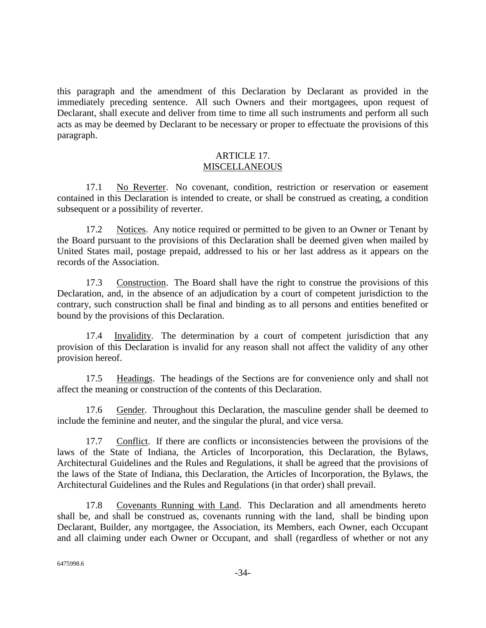this paragraph and the amendment of this Declaration by Declarant as provided in the immediately preceding sentence. All such Owners and their mortgagees, upon request of Declarant, shall execute and deliver from time to time all such instruments and perform all such acts as may be deemed by Declarant to be necessary or proper to effectuate the provisions of this paragraph.

### ARTICLE 17. **MISCELLANEOUS**

17.1 No Reverter. No covenant, condition, restriction or reservation or easement contained in this Declaration is intended to create, or shall be construed as creating, a condition subsequent or a possibility of reverter.

17.2 Notices. Any notice required or permitted to be given to an Owner or Tenant by the Board pursuant to the provisions of this Declaration shall be deemed given when mailed by United States mail, postage prepaid, addressed to his or her last address as it appears on the records of the Association.

17.3 Construction. The Board shall have the right to construe the provisions of this Declaration, and, in the absence of an adjudication by a court of competent jurisdiction to the contrary, such construction shall be final and binding as to all persons and entities benefited or bound by the provisions of this Declaration.

17.4 Invalidity. The determination by a court of competent jurisdiction that any provision of this Declaration is invalid for any reason shall not affect the validity of any other provision hereof.

17.5 Headings. The headings of the Sections are for convenience only and shall not affect the meaning or construction of the contents of this Declaration.

17.6 Gender. Throughout this Declaration, the masculine gender shall be deemed to include the feminine and neuter, and the singular the plural, and vice versa.

17.7 Conflict. If there are conflicts or inconsistencies between the provisions of the laws of the State of Indiana, the Articles of Incorporation, this Declaration, the Bylaws, Architectural Guidelines and the Rules and Regulations, it shall be agreed that the provisions of the laws of the State of Indiana, this Declaration, the Articles of Incorporation, the Bylaws, the Architectural Guidelines and the Rules and Regulations (in that order) shall prevail.

17.8 Covenants Running with Land. This Declaration and all amendments hereto shall be, and shall be construed as, covenants running with the land, shall be binding upon Declarant, Builder, any mortgagee, the Association, its Members, each Owner, each Occupant and all claiming under each Owner or Occupant, and shall (regardless of whether or not any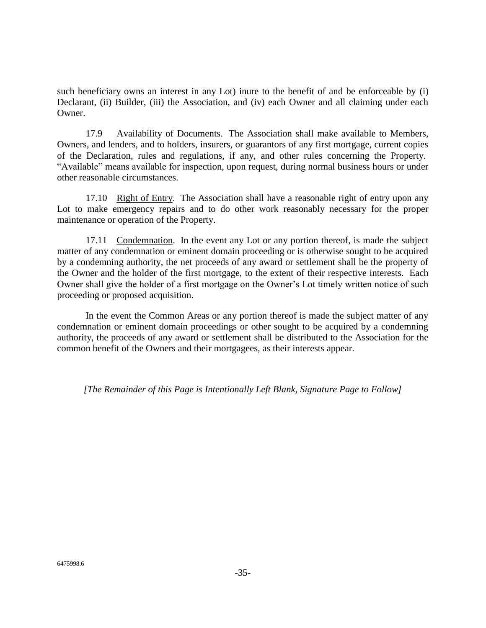such beneficiary owns an interest in any Lot) inure to the benefit of and be enforceable by (i) Declarant, (ii) Builder, (iii) the Association, and (iv) each Owner and all claiming under each Owner.

17.9 Availability of Documents. The Association shall make available to Members, Owners, and lenders, and to holders, insurers, or guarantors of any first mortgage, current copies of the Declaration, rules and regulations, if any, and other rules concerning the Property. "Available" means available for inspection, upon request, during normal business hours or under other reasonable circumstances.

17.10 Right of Entry. The Association shall have a reasonable right of entry upon any Lot to make emergency repairs and to do other work reasonably necessary for the proper maintenance or operation of the Property.

17.11 Condemnation. In the event any Lot or any portion thereof, is made the subject matter of any condemnation or eminent domain proceeding or is otherwise sought to be acquired by a condemning authority, the net proceeds of any award or settlement shall be the property of the Owner and the holder of the first mortgage, to the extent of their respective interests. Each Owner shall give the holder of a first mortgage on the Owner's Lot timely written notice of such proceeding or proposed acquisition.

In the event the Common Areas or any portion thereof is made the subject matter of any condemnation or eminent domain proceedings or other sought to be acquired by a condemning authority, the proceeds of any award or settlement shall be distributed to the Association for the common benefit of the Owners and their mortgagees, as their interests appear.

*[The Remainder of this Page is Intentionally Left Blank, Signature Page to Follow]*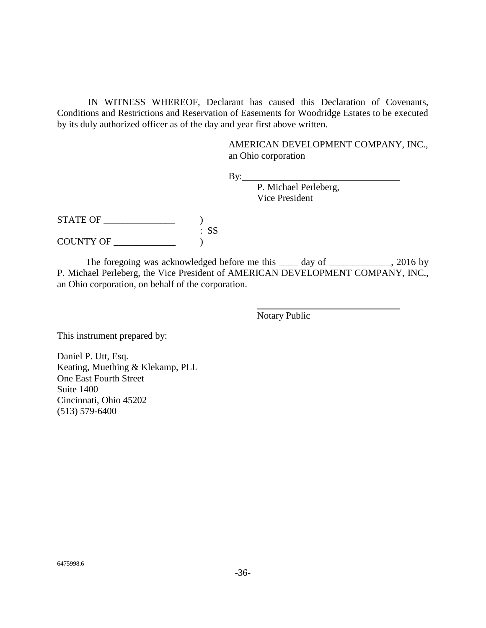IN WITNESS WHEREOF, Declarant has caused this Declaration of Covenants, Conditions and Restrictions and Reservation of Easements for Woodridge Estates to be executed by its duly authorized officer as of the day and year first above written.

> AMERICAN DEVELOPMENT COMPANY, INC., an Ohio corporation

 $By:$ 

P. Michael Perleberg, Vice President

 $STATE OF$   $)$ : SS COUNTY OF \_\_\_\_\_\_\_\_\_\_\_\_\_ )

The foregoing was acknowledged before me this \_\_\_\_ day of \_\_\_\_\_\_\_\_\_\_\_, 2016 by P. Michael Perleberg, the Vice President of AMERICAN DEVELOPMENT COMPANY, INC., an Ohio corporation, on behalf of the corporation.

Notary Public

This instrument prepared by:

Daniel P. Utt, Esq. Keating, Muething & Klekamp, PLL One East Fourth Street Suite 1400 Cincinnati, Ohio 45202 (513) 579-6400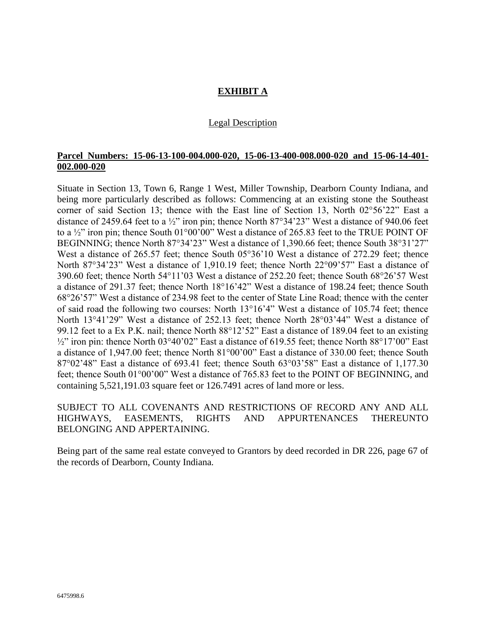# **EXHIBIT A**

### Legal Description

### **Parcel Numbers: 15-06-13-100-004.000-020, 15-06-13-400-008.000-020 and 15-06-14-401- 002.000-020**

Situate in Section 13, Town 6, Range 1 West, Miller Township, Dearborn County Indiana, and being more particularly described as follows: Commencing at an existing stone the Southeast corner of said Section 13; thence with the East line of Section 13, North 02°56'22" East a distance of 2459.64 feet to a ½" iron pin; thence North 87°34'23" West a distance of 940.06 feet to a  $\frac{1}{2}$ " iron pin; thence South 01°00'00" West a distance of 265.83 feet to the TRUE POINT OF BEGINNING; thence North 87°34'23" West a distance of 1,390.66 feet; thence South 38°31'27" West a distance of 265.57 feet; thence South 05°36'10 West a distance of 272.29 feet; thence North 87°34'23" West a distance of 1,910.19 feet; thence North 22°09'57" East a distance of 390.60 feet; thence North 54°11'03 West a distance of 252.20 feet; thence South 68°26'57 West a distance of 291.37 feet; thence North 18°16'42" West a distance of 198.24 feet; thence South 68°26'57" West a distance of 234.98 feet to the center of State Line Road; thence with the center of said road the following two courses: North 13°16'4" West a distance of 105.74 feet; thence North 13°41'29" West a distance of 252.13 feet; thence North 28°03'44" West a distance of 99.12 feet to a Ex P.K. nail; thence North 88°12'52" East a distance of 189.04 feet to an existing  $\frac{1}{2}$ " iron pin: thence North 03°40'02" East a distance of 619.55 feet; thence North 88°17'00" East a distance of 1,947.00 feet; thence North 81°00'00" East a distance of 330.00 feet; thence South 87°02'48" East a distance of 693.41 feet; thence South 63°03'58" East a distance of 1,177.30 feet; thence South 01°00'00" West a distance of 765.83 feet to the POINT OF BEGINNING, and containing 5,521,191.03 square feet or 126.7491 acres of land more or less.

SUBJECT TO ALL COVENANTS AND RESTRICTIONS OF RECORD ANY AND ALL HIGHWAYS, EASEMENTS, RIGHTS AND APPURTENANCES THEREUNTO BELONGING AND APPERTAINING.

Being part of the same real estate conveyed to Grantors by deed recorded in DR 226, page 67 of the records of Dearborn, County Indiana.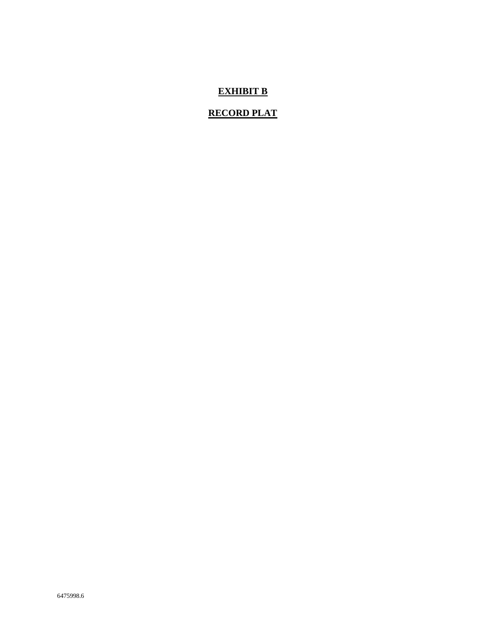# **EXHIBIT B**

# **RECORD PLAT**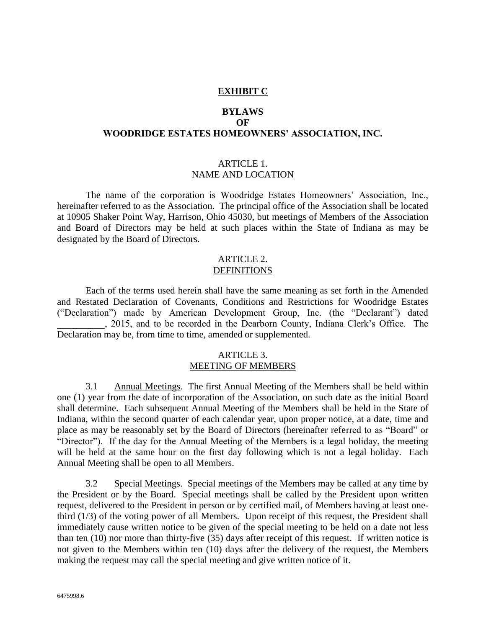#### **EXHIBIT C**

# **BYLAWS OF WOODRIDGE ESTATES HOMEOWNERS' ASSOCIATION, INC.**

#### ARTICLE 1. NAME AND LOCATION

The name of the corporation is Woodridge Estates Homeowners' Association, Inc., hereinafter referred to as the Association. The principal office of the Association shall be located at 10905 Shaker Point Way, Harrison, Ohio 45030, but meetings of Members of the Association and Board of Directors may be held at such places within the State of Indiana as may be designated by the Board of Directors.

### ARTICLE 2. **DEFINITIONS**

Each of the terms used herein shall have the same meaning as set forth in the Amended and Restated Declaration of Covenants, Conditions and Restrictions for Woodridge Estates ("Declaration") made by American Development Group, Inc. (the "Declarant") dated \_\_\_\_\_\_\_\_\_\_, 2015, and to be recorded in the Dearborn County, Indiana Clerk's Office. The Declaration may be, from time to time, amended or supplemented.

### ARTICLE 3. MEETING OF MEMBERS

3.1 Annual Meetings. The first Annual Meeting of the Members shall be held within one (1) year from the date of incorporation of the Association, on such date as the initial Board shall determine. Each subsequent Annual Meeting of the Members shall be held in the State of Indiana, within the second quarter of each calendar year, upon proper notice, at a date, time and place as may be reasonably set by the Board of Directors (hereinafter referred to as "Board" or "Director"). If the day for the Annual Meeting of the Members is a legal holiday, the meeting will be held at the same hour on the first day following which is not a legal holiday. Each Annual Meeting shall be open to all Members.

3.2 Special Meetings. Special meetings of the Members may be called at any time by the President or by the Board. Special meetings shall be called by the President upon written request, delivered to the President in person or by certified mail, of Members having at least onethird (1/3) of the voting power of all Members. Upon receipt of this request, the President shall immediately cause written notice to be given of the special meeting to be held on a date not less than ten (10) nor more than thirty-five (35) days after receipt of this request. If written notice is not given to the Members within ten (10) days after the delivery of the request, the Members making the request may call the special meeting and give written notice of it.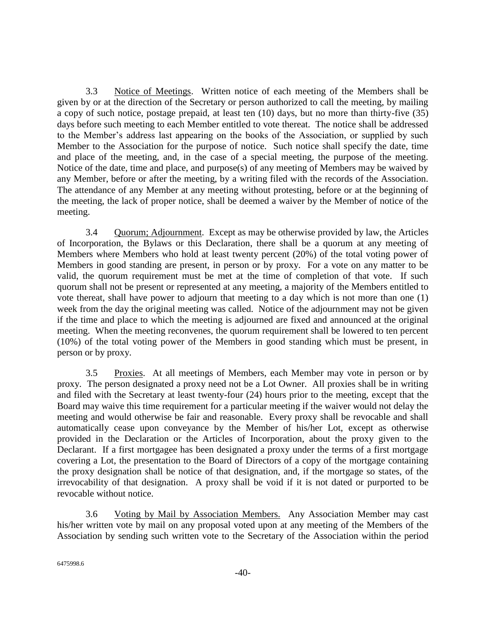3.3 Notice of Meetings. Written notice of each meeting of the Members shall be given by or at the direction of the Secretary or person authorized to call the meeting, by mailing a copy of such notice, postage prepaid, at least ten (10) days, but no more than thirty-five (35) days before such meeting to each Member entitled to vote thereat. The notice shall be addressed to the Member's address last appearing on the books of the Association, or supplied by such Member to the Association for the purpose of notice. Such notice shall specify the date, time and place of the meeting, and, in the case of a special meeting, the purpose of the meeting. Notice of the date, time and place, and purpose(s) of any meeting of Members may be waived by any Member, before or after the meeting, by a writing filed with the records of the Association. The attendance of any Member at any meeting without protesting, before or at the beginning of the meeting, the lack of proper notice, shall be deemed a waiver by the Member of notice of the meeting.

3.4 Quorum; Adjournment. Except as may be otherwise provided by law, the Articles of Incorporation, the Bylaws or this Declaration, there shall be a quorum at any meeting of Members where Members who hold at least twenty percent (20%) of the total voting power of Members in good standing are present, in person or by proxy. For a vote on any matter to be valid, the quorum requirement must be met at the time of completion of that vote. If such quorum shall not be present or represented at any meeting, a majority of the Members entitled to vote thereat, shall have power to adjourn that meeting to a day which is not more than one (1) week from the day the original meeting was called. Notice of the adjournment may not be given if the time and place to which the meeting is adjourned are fixed and announced at the original meeting. When the meeting reconvenes, the quorum requirement shall be lowered to ten percent (10%) of the total voting power of the Members in good standing which must be present, in person or by proxy.

3.5 Proxies. At all meetings of Members, each Member may vote in person or by proxy. The person designated a proxy need not be a Lot Owner. All proxies shall be in writing and filed with the Secretary at least twenty-four (24) hours prior to the meeting, except that the Board may waive this time requirement for a particular meeting if the waiver would not delay the meeting and would otherwise be fair and reasonable. Every proxy shall be revocable and shall automatically cease upon conveyance by the Member of his/her Lot, except as otherwise provided in the Declaration or the Articles of Incorporation, about the proxy given to the Declarant. If a first mortgagee has been designated a proxy under the terms of a first mortgage covering a Lot, the presentation to the Board of Directors of a copy of the mortgage containing the proxy designation shall be notice of that designation, and, if the mortgage so states, of the irrevocability of that designation. A proxy shall be void if it is not dated or purported to be revocable without notice.

3.6 Voting by Mail by Association Members. Any Association Member may cast his/her written vote by mail on any proposal voted upon at any meeting of the Members of the Association by sending such written vote to the Secretary of the Association within the period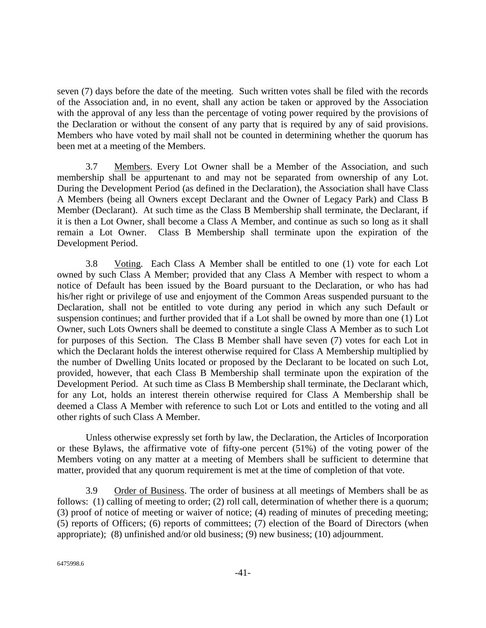seven (7) days before the date of the meeting. Such written votes shall be filed with the records of the Association and, in no event, shall any action be taken or approved by the Association with the approval of any less than the percentage of voting power required by the provisions of the Declaration or without the consent of any party that is required by any of said provisions. Members who have voted by mail shall not be counted in determining whether the quorum has been met at a meeting of the Members.

3.7 Members. Every Lot Owner shall be a Member of the Association, and such membership shall be appurtenant to and may not be separated from ownership of any Lot. During the Development Period (as defined in the Declaration), the Association shall have Class A Members (being all Owners except Declarant and the Owner of Legacy Park) and Class B Member (Declarant). At such time as the Class B Membership shall terminate, the Declarant, if it is then a Lot Owner, shall become a Class A Member, and continue as such so long as it shall remain a Lot Owner. Class B Membership shall terminate upon the expiration of the Development Period.

3.8 Voting. Each Class A Member shall be entitled to one (1) vote for each Lot owned by such Class A Member; provided that any Class A Member with respect to whom a notice of Default has been issued by the Board pursuant to the Declaration, or who has had his/her right or privilege of use and enjoyment of the Common Areas suspended pursuant to the Declaration, shall not be entitled to vote during any period in which any such Default or suspension continues; and further provided that if a Lot shall be owned by more than one (1) Lot Owner, such Lots Owners shall be deemed to constitute a single Class A Member as to such Lot for purposes of this Section. The Class B Member shall have seven (7) votes for each Lot in which the Declarant holds the interest otherwise required for Class A Membership multiplied by the number of Dwelling Units located or proposed by the Declarant to be located on such Lot, provided, however, that each Class B Membership shall terminate upon the expiration of the Development Period. At such time as Class B Membership shall terminate, the Declarant which, for any Lot, holds an interest therein otherwise required for Class A Membership shall be deemed a Class A Member with reference to such Lot or Lots and entitled to the voting and all other rights of such Class A Member.

Unless otherwise expressly set forth by law, the Declaration, the Articles of Incorporation or these Bylaws, the affirmative vote of fifty-one percent (51%) of the voting power of the Members voting on any matter at a meeting of Members shall be sufficient to determine that matter, provided that any quorum requirement is met at the time of completion of that vote.

3.9 Order of Business. The order of business at all meetings of Members shall be as follows: (1) calling of meeting to order; (2) roll call, determination of whether there is a quorum; (3) proof of notice of meeting or waiver of notice; (4) reading of minutes of preceding meeting; (5) reports of Officers; (6) reports of committees; (7) election of the Board of Directors (when appropriate); (8) unfinished and/or old business; (9) new business; (10) adjournment.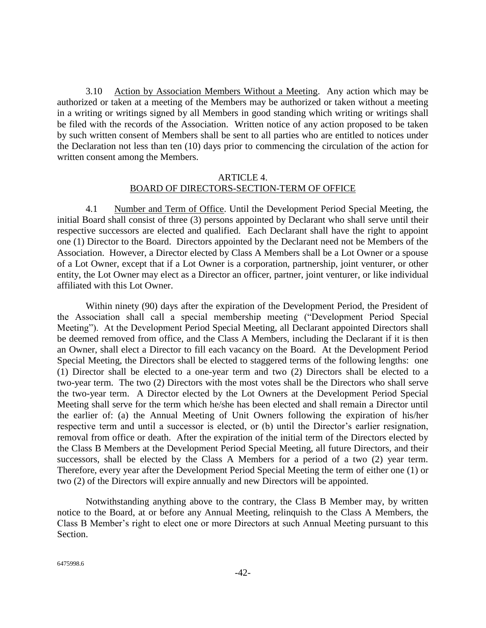3.10 Action by Association Members Without a Meeting. Any action which may be authorized or taken at a meeting of the Members may be authorized or taken without a meeting in a writing or writings signed by all Members in good standing which writing or writings shall be filed with the records of the Association. Written notice of any action proposed to be taken by such written consent of Members shall be sent to all parties who are entitled to notices under the Declaration not less than ten (10) days prior to commencing the circulation of the action for written consent among the Members.

### ARTICLE 4. BOARD OF DIRECTORS-SECTION-TERM OF OFFICE

<span id="page-41-0"></span>4.1 Number and Term of Office. Until the Development Period Special Meeting, the initial Board shall consist of three (3) persons appointed by Declarant who shall serve until their respective successors are elected and qualified. Each Declarant shall have the right to appoint one (1) Director to the Board. Directors appointed by the Declarant need not be Members of the Association. However, a Director elected by Class A Members shall be a Lot Owner or a spouse of a Lot Owner, except that if a Lot Owner is a corporation, partnership, joint venturer, or other entity, the Lot Owner may elect as a Director an officer, partner, joint venturer, or like individual affiliated with this Lot Owner.

Within ninety (90) days after the expiration of the Development Period, the President of the Association shall call a special membership meeting ("Development Period Special Meeting"). At the Development Period Special Meeting, all Declarant appointed Directors shall be deemed removed from office, and the Class A Members, including the Declarant if it is then an Owner, shall elect a Director to fill each vacancy on the Board. At the Development Period Special Meeting, the Directors shall be elected to staggered terms of the following lengths: one (1) Director shall be elected to a one-year term and two (2) Directors shall be elected to a two-year term. The two (2) Directors with the most votes shall be the Directors who shall serve the two-year term. A Director elected by the Lot Owners at the Development Period Special Meeting shall serve for the term which he/she has been elected and shall remain a Director until the earlier of: (a) the Annual Meeting of Unit Owners following the expiration of his/her respective term and until a successor is elected, or (b) until the Director's earlier resignation, removal from office or death. After the expiration of the initial term of the Directors elected by the Class B Members at the Development Period Special Meeting, all future Directors, and their successors, shall be elected by the Class A Members for a period of a two (2) year term. Therefore, every year after the Development Period Special Meeting the term of either one (1) or two (2) of the Directors will expire annually and new Directors will be appointed.

Notwithstanding anything above to the contrary, the Class B Member may, by written notice to the Board, at or before any Annual Meeting, relinquish to the Class A Members, the Class B Member's right to elect one or more Directors at such Annual Meeting pursuant to this Section.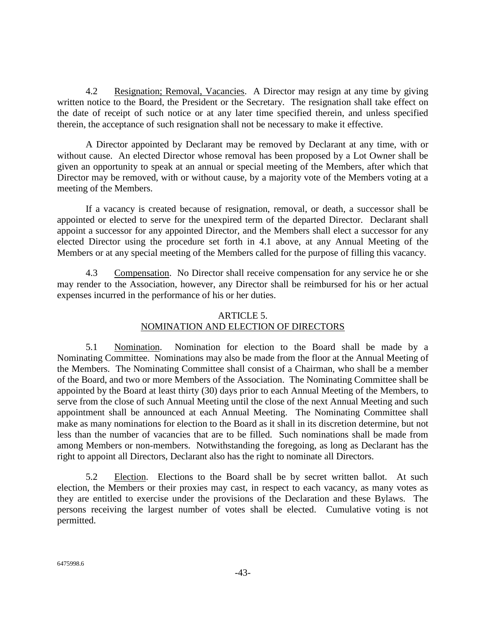4.2 Resignation; Removal, Vacancies. A Director may resign at any time by giving written notice to the Board, the President or the Secretary. The resignation shall take effect on the date of receipt of such notice or at any later time specified therein, and unless specified therein, the acceptance of such resignation shall not be necessary to make it effective.

A Director appointed by Declarant may be removed by Declarant at any time, with or without cause. An elected Director whose removal has been proposed by a Lot Owner shall be given an opportunity to speak at an annual or special meeting of the Members, after which that Director may be removed, with or without cause, by a majority vote of the Members voting at a meeting of the Members.

If a vacancy is created because of resignation, removal, or death, a successor shall be appointed or elected to serve for the unexpired term of the departed Director. Declarant shall appoint a successor for any appointed Director, and the Members shall elect a successor for any elected Director using the procedure set forth in [4.1](#page-41-0) above, at any Annual Meeting of the Members or at any special meeting of the Members called for the purpose of filling this vacancy.

4.3 Compensation. No Director shall receive compensation for any service he or she may render to the Association, however, any Director shall be reimbursed for his or her actual expenses incurred in the performance of his or her duties.

### ARTICLE 5.

# NOMINATION AND ELECTION OF DIRECTORS

5.1 Nomination. Nomination for election to the Board shall be made by a Nominating Committee. Nominations may also be made from the floor at the Annual Meeting of the Members. The Nominating Committee shall consist of a Chairman, who shall be a member of the Board, and two or more Members of the Association. The Nominating Committee shall be appointed by the Board at least thirty (30) days prior to each Annual Meeting of the Members, to serve from the close of such Annual Meeting until the close of the next Annual Meeting and such appointment shall be announced at each Annual Meeting. The Nominating Committee shall make as many nominations for election to the Board as it shall in its discretion determine, but not less than the number of vacancies that are to be filled. Such nominations shall be made from among Members or non-members. Notwithstanding the foregoing, as long as Declarant has the right to appoint all Directors, Declarant also has the right to nominate all Directors.

5.2 Election. Elections to the Board shall be by secret written ballot. At such election, the Members or their proxies may cast, in respect to each vacancy, as many votes as they are entitled to exercise under the provisions of the Declaration and these Bylaws. The persons receiving the largest number of votes shall be elected. Cumulative voting is not permitted.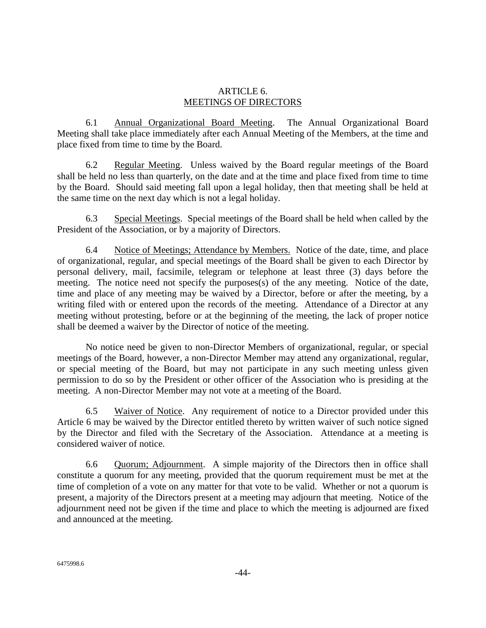### ARTICLE 6. MEETINGS OF DIRECTORS

6.1 Annual Organizational Board Meeting. The Annual Organizational Board Meeting shall take place immediately after each Annual Meeting of the Members, at the time and place fixed from time to time by the Board.

6.2 Regular Meeting. Unless waived by the Board regular meetings of the Board shall be held no less than quarterly, on the date and at the time and place fixed from time to time by the Board. Should said meeting fall upon a legal holiday, then that meeting shall be held at the same time on the next day which is not a legal holiday.

6.3 Special Meetings. Special meetings of the Board shall be held when called by the President of the Association, or by a majority of Directors.

6.4 Notice of Meetings; Attendance by Members. Notice of the date, time, and place of organizational, regular, and special meetings of the Board shall be given to each Director by personal delivery, mail, facsimile, telegram or telephone at least three (3) days before the meeting. The notice need not specify the purposes(s) of the any meeting. Notice of the date, time and place of any meeting may be waived by a Director, before or after the meeting, by a writing filed with or entered upon the records of the meeting. Attendance of a Director at any meeting without protesting, before or at the beginning of the meeting, the lack of proper notice shall be deemed a waiver by the Director of notice of the meeting.

No notice need be given to non-Director Members of organizational, regular, or special meetings of the Board, however, a non-Director Member may attend any organizational, regular, or special meeting of the Board, but may not participate in any such meeting unless given permission to do so by the President or other officer of the Association who is presiding at the meeting. A non-Director Member may not vote at a meeting of the Board.

6.5 Waiver of Notice. Any requirement of notice to a Director provided under this Article 6 may be waived by the Director entitled thereto by written waiver of such notice signed by the Director and filed with the Secretary of the Association. Attendance at a meeting is considered waiver of notice.

6.6 Quorum; Adjournment. A simple majority of the Directors then in office shall constitute a quorum for any meeting, provided that the quorum requirement must be met at the time of completion of a vote on any matter for that vote to be valid. Whether or not a quorum is present, a majority of the Directors present at a meeting may adjourn that meeting. Notice of the adjournment need not be given if the time and place to which the meeting is adjourned are fixed and announced at the meeting.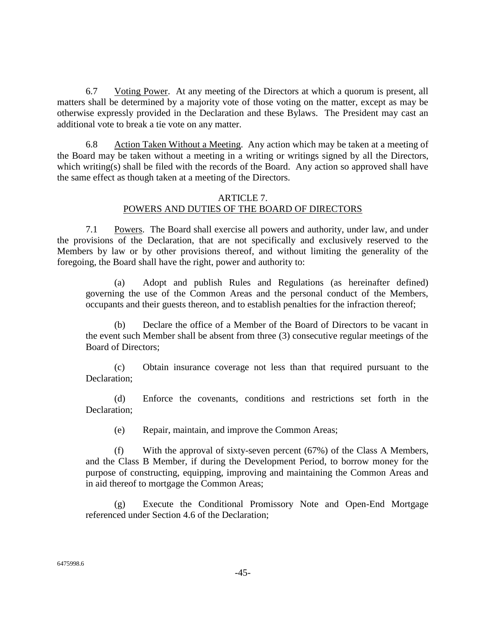6.7 Voting Power. At any meeting of the Directors at which a quorum is present, all matters shall be determined by a majority vote of those voting on the matter, except as may be otherwise expressly provided in the Declaration and these Bylaws. The President may cast an additional vote to break a tie vote on any matter.

6.8 Action Taken Without a Meeting. Any action which may be taken at a meeting of the Board may be taken without a meeting in a writing or writings signed by all the Directors, which writing(s) shall be filed with the records of the Board. Any action so approved shall have the same effect as though taken at a meeting of the Directors.

### ARTICLE 7. POWERS AND DUTIES OF THE BOARD OF DIRECTORS

7.1 Powers. The Board shall exercise all powers and authority, under law, and under the provisions of the Declaration, that are not specifically and exclusively reserved to the Members by law or by other provisions thereof, and without limiting the generality of the foregoing, the Board shall have the right, power and authority to:

(a) Adopt and publish Rules and Regulations (as hereinafter defined) governing the use of the Common Areas and the personal conduct of the Members, occupants and their guests thereon, and to establish penalties for the infraction thereof;

(b) Declare the office of a Member of the Board of Directors to be vacant in the event such Member shall be absent from three (3) consecutive regular meetings of the Board of Directors;

(c) Obtain insurance coverage not less than that required pursuant to the Declaration;

(d) Enforce the covenants, conditions and restrictions set forth in the Declaration;

(e) Repair, maintain, and improve the Common Areas;

(f) With the approval of sixty-seven percent (67%) of the Class A Members, and the Class B Member, if during the Development Period, to borrow money for the purpose of constructing, equipping, improving and maintaining the Common Areas and in aid thereof to mortgage the Common Areas;

(g) Execute the Conditional Promissory Note and Open-End Mortgage referenced under Section 4.6 of the Declaration;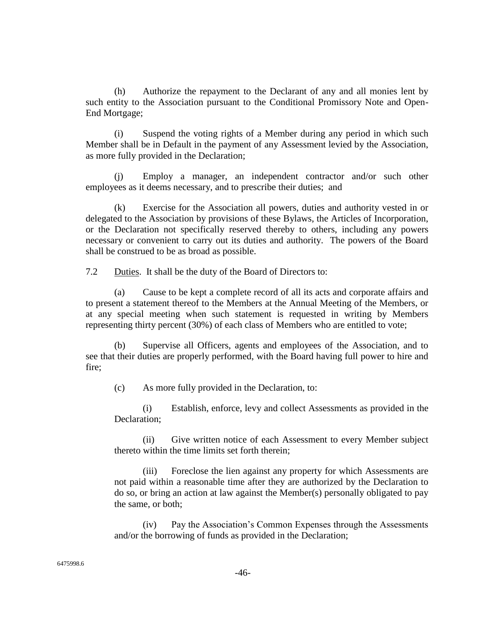(h) Authorize the repayment to the Declarant of any and all monies lent by such entity to the Association pursuant to the Conditional Promissory Note and Open-End Mortgage;

(i) Suspend the voting rights of a Member during any period in which such Member shall be in Default in the payment of any Assessment levied by the Association, as more fully provided in the Declaration;

(j) Employ a manager, an independent contractor and/or such other employees as it deems necessary, and to prescribe their duties; and

(k) Exercise for the Association all powers, duties and authority vested in or delegated to the Association by provisions of these Bylaws, the Articles of Incorporation, or the Declaration not specifically reserved thereby to others, including any powers necessary or convenient to carry out its duties and authority. The powers of the Board shall be construed to be as broad as possible.

7.2 Duties. It shall be the duty of the Board of Directors to:

(a) Cause to be kept a complete record of all its acts and corporate affairs and to present a statement thereof to the Members at the Annual Meeting of the Members, or at any special meeting when such statement is requested in writing by Members representing thirty percent (30%) of each class of Members who are entitled to vote;

(b) Supervise all Officers, agents and employees of the Association, and to see that their duties are properly performed, with the Board having full power to hire and fire;

(c) As more fully provided in the Declaration, to:

(i) Establish, enforce, levy and collect Assessments as provided in the Declaration;

(ii) Give written notice of each Assessment to every Member subject thereto within the time limits set forth therein;

(iii) Foreclose the lien against any property for which Assessments are not paid within a reasonable time after they are authorized by the Declaration to do so, or bring an action at law against the Member(s) personally obligated to pay the same, or both;

(iv) Pay the Association's Common Expenses through the Assessments and/or the borrowing of funds as provided in the Declaration;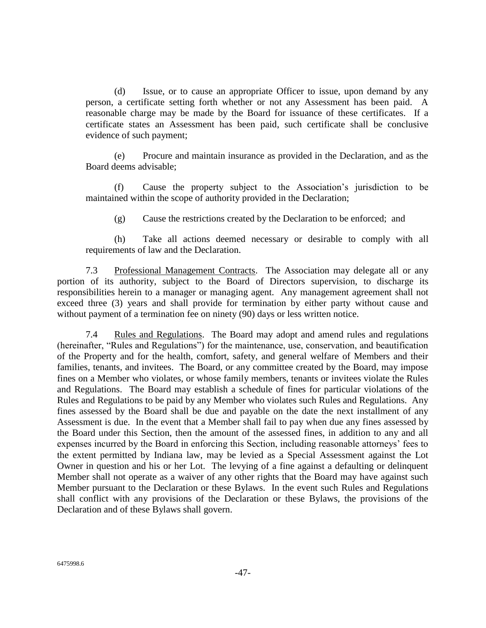(d) Issue, or to cause an appropriate Officer to issue, upon demand by any person, a certificate setting forth whether or not any Assessment has been paid. A reasonable charge may be made by the Board for issuance of these certificates. If a certificate states an Assessment has been paid, such certificate shall be conclusive evidence of such payment;

(e) Procure and maintain insurance as provided in the Declaration, and as the Board deems advisable;

(f) Cause the property subject to the Association's jurisdiction to be maintained within the scope of authority provided in the Declaration;

(g) Cause the restrictions created by the Declaration to be enforced; and

(h) Take all actions deemed necessary or desirable to comply with all requirements of law and the Declaration.

7.3 Professional Management Contracts. The Association may delegate all or any portion of its authority, subject to the Board of Directors supervision, to discharge its responsibilities herein to a manager or managing agent. Any management agreement shall not exceed three (3) years and shall provide for termination by either party without cause and without payment of a termination fee on ninety (90) days or less written notice.

7.4 Rules and Regulations. The Board may adopt and amend rules and regulations (hereinafter, "Rules and Regulations") for the maintenance, use, conservation, and beautification of the Property and for the health, comfort, safety, and general welfare of Members and their families, tenants, and invitees. The Board, or any committee created by the Board, may impose fines on a Member who violates, or whose family members, tenants or invitees violate the Rules and Regulations. The Board may establish a schedule of fines for particular violations of the Rules and Regulations to be paid by any Member who violates such Rules and Regulations. Any fines assessed by the Board shall be due and payable on the date the next installment of any Assessment is due. In the event that a Member shall fail to pay when due any fines assessed by the Board under this Section, then the amount of the assessed fines, in addition to any and all expenses incurred by the Board in enforcing this Section, including reasonable attorneys' fees to the extent permitted by Indiana law, may be levied as a Special Assessment against the Lot Owner in question and his or her Lot. The levying of a fine against a defaulting or delinquent Member shall not operate as a waiver of any other rights that the Board may have against such Member pursuant to the Declaration or these Bylaws. In the event such Rules and Regulations shall conflict with any provisions of the Declaration or these Bylaws, the provisions of the Declaration and of these Bylaws shall govern.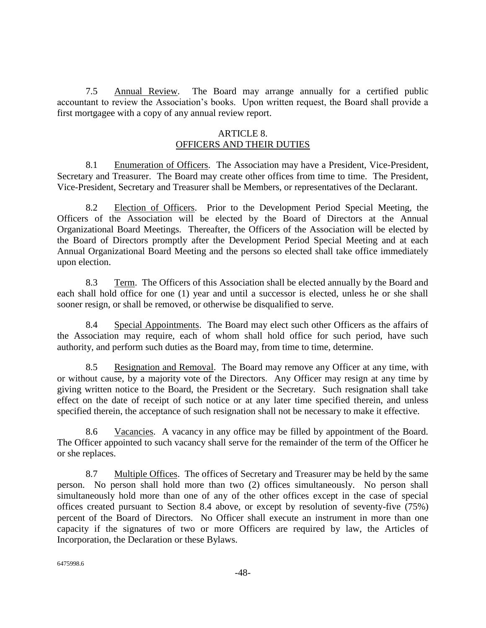7.5 Annual Review. The Board may arrange annually for a certified public accountant to review the Association's books. Upon written request, the Board shall provide a first mortgagee with a copy of any annual review report.

# ARTICLE 8.

# OFFICERS AND THEIR DUTIES

8.1 Enumeration of Officers. The Association may have a President, Vice-President, Secretary and Treasurer. The Board may create other offices from time to time. The President, Vice-President, Secretary and Treasurer shall be Members, or representatives of the Declarant.

8.2 Election of Officers. Prior to the Development Period Special Meeting, the Officers of the Association will be elected by the Board of Directors at the Annual Organizational Board Meetings. Thereafter, the Officers of the Association will be elected by the Board of Directors promptly after the Development Period Special Meeting and at each Annual Organizational Board Meeting and the persons so elected shall take office immediately upon election.

8.3 Term. The Officers of this Association shall be elected annually by the Board and each shall hold office for one (1) year and until a successor is elected, unless he or she shall sooner resign, or shall be removed, or otherwise be disqualified to serve.

8.4 Special Appointments. The Board may elect such other Officers as the affairs of the Association may require, each of whom shall hold office for such period, have such authority, and perform such duties as the Board may, from time to time, determine.

8.5 Resignation and Removal. The Board may remove any Officer at any time, with or without cause, by a majority vote of the Directors. Any Officer may resign at any time by giving written notice to the Board, the President or the Secretary. Such resignation shall take effect on the date of receipt of such notice or at any later time specified therein, and unless specified therein, the acceptance of such resignation shall not be necessary to make it effective.

8.6 Vacancies. A vacancy in any office may be filled by appointment of the Board. The Officer appointed to such vacancy shall serve for the remainder of the term of the Officer he or she replaces.

8.7 Multiple Offices. The offices of Secretary and Treasurer may be held by the same person. No person shall hold more than two (2) offices simultaneously. No person shall simultaneously hold more than one of any of the other offices except in the case of special offices created pursuant to Section 8.4 above, or except by resolution of seventy-five (75%) percent of the Board of Directors. No Officer shall execute an instrument in more than one capacity if the signatures of two or more Officers are required by law, the Articles of Incorporation, the Declaration or these Bylaws.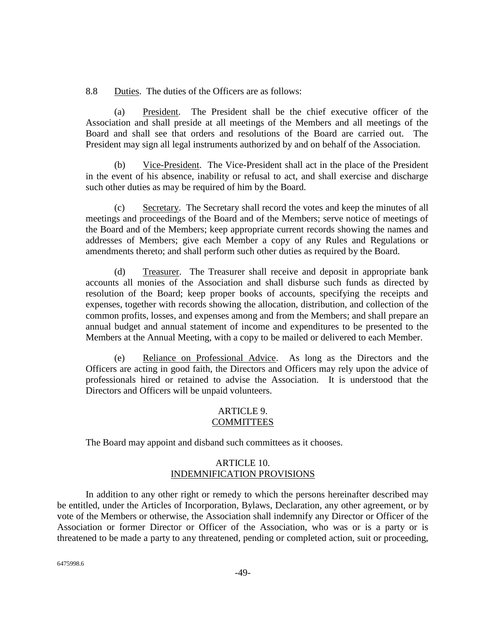8.8 Duties. The duties of the Officers are as follows:

(a) President. The President shall be the chief executive officer of the Association and shall preside at all meetings of the Members and all meetings of the Board and shall see that orders and resolutions of the Board are carried out. The President may sign all legal instruments authorized by and on behalf of the Association.

Vice-President. The Vice-President shall act in the place of the President in the event of his absence, inability or refusal to act, and shall exercise and discharge such other duties as may be required of him by the Board.

(c) Secretary. The Secretary shall record the votes and keep the minutes of all meetings and proceedings of the Board and of the Members; serve notice of meetings of the Board and of the Members; keep appropriate current records showing the names and addresses of Members; give each Member a copy of any Rules and Regulations or amendments thereto; and shall perform such other duties as required by the Board.

(d) Treasurer. The Treasurer shall receive and deposit in appropriate bank accounts all monies of the Association and shall disburse such funds as directed by resolution of the Board; keep proper books of accounts, specifying the receipts and expenses, together with records showing the allocation, distribution, and collection of the common profits, losses, and expenses among and from the Members; and shall prepare an annual budget and annual statement of income and expenditures to be presented to the Members at the Annual Meeting, with a copy to be mailed or delivered to each Member.

(e) Reliance on Professional Advice. As long as the Directors and the Officers are acting in good faith, the Directors and Officers may rely upon the advice of professionals hired or retained to advise the Association. It is understood that the Directors and Officers will be unpaid volunteers.

#### ARTICLE 9. **COMMITTEES**

The Board may appoint and disband such committees as it chooses.

### ARTICLE 10. INDEMNIFICATION PROVISIONS

In addition to any other right or remedy to which the persons hereinafter described may be entitled, under the Articles of Incorporation, Bylaws, Declaration, any other agreement, or by vote of the Members or otherwise, the Association shall indemnify any Director or Officer of the Association or former Director or Officer of the Association, who was or is a party or is threatened to be made a party to any threatened, pending or completed action, suit or proceeding,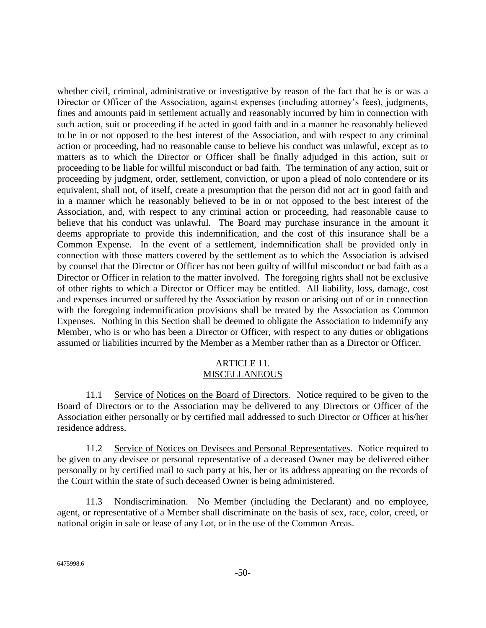whether civil, criminal, administrative or investigative by reason of the fact that he is or was a Director or Officer of the Association, against expenses (including attorney's fees), judgments, fines and amounts paid in settlement actually and reasonably incurred by him in connection with such action, suit or proceeding if he acted in good faith and in a manner he reasonably believed to be in or not opposed to the best interest of the Association, and with respect to any criminal action or proceeding, had no reasonable cause to believe his conduct was unlawful, except as to matters as to which the Director or Officer shall be finally adjudged in this action, suit or proceeding to be liable for willful misconduct or bad faith. The termination of any action, suit or proceeding by judgment, order, settlement, conviction, or upon a plead of nolo contendere or its equivalent, shall not, of itself, create a presumption that the person did not act in good faith and in a manner which he reasonably believed to be in or not opposed to the best interest of the Association, and, with respect to any criminal action or proceeding, had reasonable cause to believe that his conduct was unlawful. The Board may purchase insurance in the amount it deems appropriate to provide this indemnification, and the cost of this insurance shall be a Common Expense. In the event of a settlement, indemnification shall be provided only in connection with those matters covered by the settlement as to which the Association is advised by counsel that the Director or Officer has not been guilty of willful misconduct or bad faith as a Director or Officer in relation to the matter involved. The foregoing rights shall not be exclusive of other rights to which a Director or Officer may be entitled. All liability, loss, damage, cost and expenses incurred or suffered by the Association by reason or arising out of or in connection with the foregoing indemnification provisions shall be treated by the Association as Common Expenses. Nothing in this Section shall be deemed to obligate the Association to indemnify any Member, who is or who has been a Director or Officer, with respect to any duties or obligations assumed or liabilities incurred by the Member as a Member rather than as a Director or Officer.

### ARTICLE 11. **MISCELLANEOUS**

11.1 Service of Notices on the Board of Directors. Notice required to be given to the Board of Directors or to the Association may be delivered to any Directors or Officer of the Association either personally or by certified mail addressed to such Director or Officer at his/her residence address.

11.2 Service of Notices on Devisees and Personal Representatives. Notice required to be given to any devisee or personal representative of a deceased Owner may be delivered either personally or by certified mail to such party at his, her or its address appearing on the records of the Court within the state of such deceased Owner is being administered.

11.3 Nondiscrimination. No Member (including the Declarant) and no employee, agent, or representative of a Member shall discriminate on the basis of sex, race, color, creed, or national origin in sale or lease of any Lot, or in the use of the Common Areas.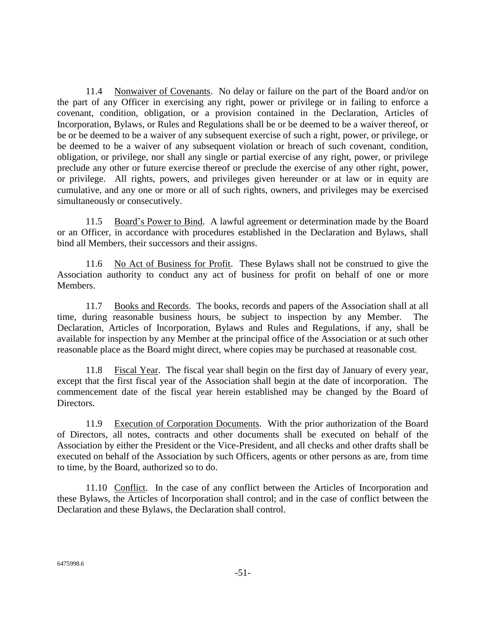11.4 Nonwaiver of Covenants. No delay or failure on the part of the Board and/or on the part of any Officer in exercising any right, power or privilege or in failing to enforce a covenant, condition, obligation, or a provision contained in the Declaration, Articles of Incorporation, Bylaws, or Rules and Regulations shall be or be deemed to be a waiver thereof, or be or be deemed to be a waiver of any subsequent exercise of such a right, power, or privilege, or be deemed to be a waiver of any subsequent violation or breach of such covenant, condition, obligation, or privilege, nor shall any single or partial exercise of any right, power, or privilege preclude any other or future exercise thereof or preclude the exercise of any other right, power, or privilege. All rights, powers, and privileges given hereunder or at law or in equity are cumulative, and any one or more or all of such rights, owners, and privileges may be exercised simultaneously or consecutively.

11.5 Board's Power to Bind. A lawful agreement or determination made by the Board or an Officer, in accordance with procedures established in the Declaration and Bylaws, shall bind all Members, their successors and their assigns.

11.6 No Act of Business for Profit. These Bylaws shall not be construed to give the Association authority to conduct any act of business for profit on behalf of one or more Members.

11.7 Books and Records. The books, records and papers of the Association shall at all time, during reasonable business hours, be subject to inspection by any Member. The Declaration, Articles of Incorporation, Bylaws and Rules and Regulations, if any, shall be available for inspection by any Member at the principal office of the Association or at such other reasonable place as the Board might direct, where copies may be purchased at reasonable cost.

11.8 Fiscal Year. The fiscal year shall begin on the first day of January of every year, except that the first fiscal year of the Association shall begin at the date of incorporation. The commencement date of the fiscal year herein established may be changed by the Board of Directors.

11.9 Execution of Corporation Documents. With the prior authorization of the Board of Directors, all notes, contracts and other documents shall be executed on behalf of the Association by either the President or the Vice-President, and all checks and other drafts shall be executed on behalf of the Association by such Officers, agents or other persons as are, from time to time, by the Board, authorized so to do.

11.10 Conflict. In the case of any conflict between the Articles of Incorporation and these Bylaws, the Articles of Incorporation shall control; and in the case of conflict between the Declaration and these Bylaws, the Declaration shall control.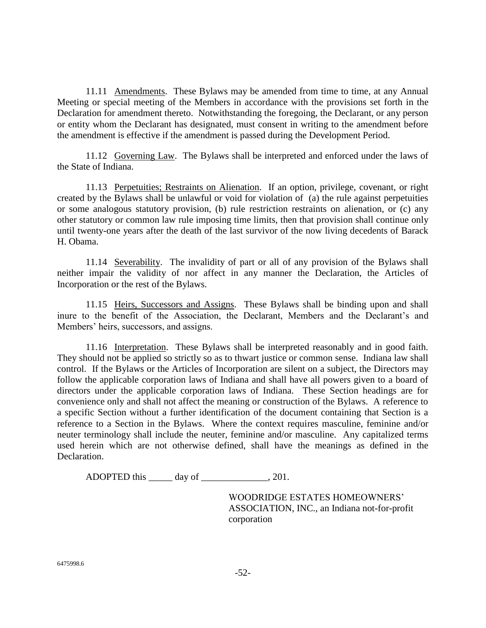11.11 <u>Amendments</u>. These Bylaws may be amended from time to time, at any Annual Meeting or special meeting of the Members in accordance with the provisions set forth in the Declaration for amendment thereto. Notwithstanding the foregoing, the Declarant, or any person or entity whom the Declarant has designated, must consent in writing to the amendment before the amendment is effective if the amendment is passed during the Development Period.

11.12 Governing Law. The Bylaws shall be interpreted and enforced under the laws of the State of Indiana.

11.13 Perpetuities; Restraints on Alienation. If an option, privilege, covenant, or right created by the Bylaws shall be unlawful or void for violation of (a) the rule against perpetuities or some analogous statutory provision, (b) rule restriction restraints on alienation, or (c) any other statutory or common law rule imposing time limits, then that provision shall continue only until twenty-one years after the death of the last survivor of the now living decedents of Barack H. Obama.

11.14 Severability. The invalidity of part or all of any provision of the Bylaws shall neither impair the validity of nor affect in any manner the Declaration, the Articles of Incorporation or the rest of the Bylaws.

11.15 Heirs, Successors and Assigns. These Bylaws shall be binding upon and shall inure to the benefit of the Association, the Declarant, Members and the Declarant's and Members' heirs, successors, and assigns.

11.16 Interpretation. These Bylaws shall be interpreted reasonably and in good faith. They should not be applied so strictly so as to thwart justice or common sense. Indiana law shall control. If the Bylaws or the Articles of Incorporation are silent on a subject, the Directors may follow the applicable corporation laws of Indiana and shall have all powers given to a board of directors under the applicable corporation laws of Indiana. These Section headings are for convenience only and shall not affect the meaning or construction of the Bylaws. A reference to a specific Section without a further identification of the document containing that Section is a reference to a Section in the Bylaws. Where the context requires masculine, feminine and/or neuter terminology shall include the neuter, feminine and/or masculine. Any capitalized terms used herein which are not otherwise defined, shall have the meanings as defined in the Declaration.

ADOPTED this \_\_\_\_\_ day of \_\_\_\_\_\_\_\_\_\_\_\_\_\_, 201.

WOODRIDGE ESTATES HOMEOWNERS' ASSOCIATION, INC., an Indiana not-for-profit corporation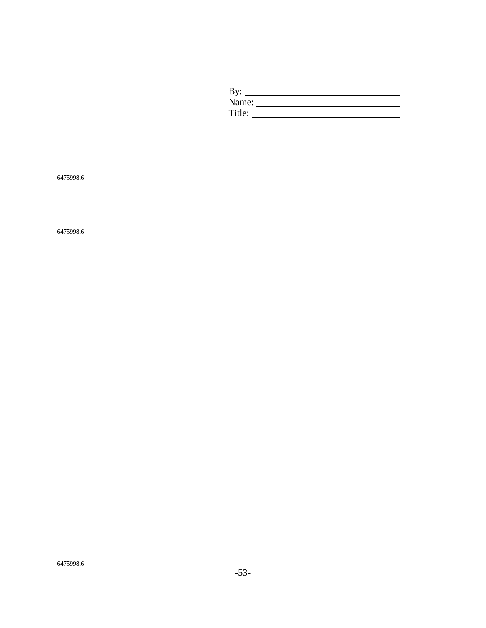| By:    |  |
|--------|--|
| Name:  |  |
| Title: |  |

6475998.6

6475998.6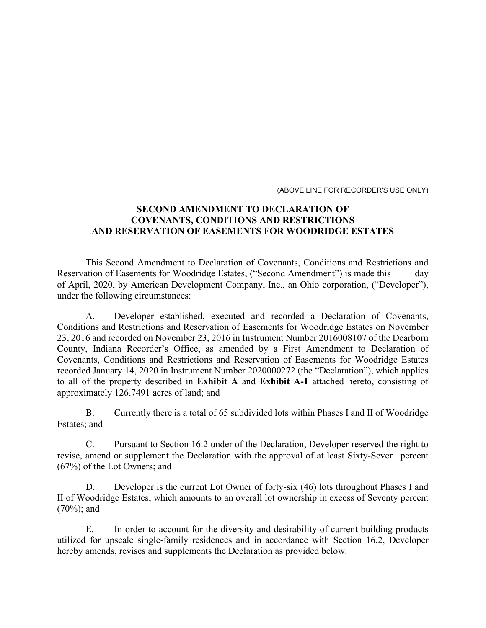(ABOVE LINE FOR RECORDER'S USE ONLY)

# **SECOND AMENDMENT TO DECLARATION OF COVENANTS, CONDITIONS AND RESTRICTIONS AND RESERVATION OF EASEMENTS FOR WOODRIDGE ESTATES**

This Second Amendment to Declaration of Covenants, Conditions and Restrictions and Reservation of Easements for Woodridge Estates, ("Second Amendment") is made this day of April, 2020, by American Development Company, Inc., an Ohio corporation, ("Developer"), under the following circumstances:

A. Developer established, executed and recorded a Declaration of Covenants, Conditions and Restrictions and Reservation of Easements for Woodridge Estates on November 23, 2016 and recorded on November 23, 2016 in Instrument Number 2016008107 of the Dearborn County, Indiana Recorder's Office, as amended by a First Amendment to Declaration of Covenants, Conditions and Restrictions and Reservation of Easements for Woodridge Estates recorded January 14, 2020 in Instrument Number 2020000272 (the "Declaration"), which applies to all of the property described in **Exhibit A** and **Exhibit A-1** attached hereto, consisting of approximately 126.7491 acres of land; and

B. Currently there is a total of 65 subdivided lots within Phases I and II of Woodridge Estates; and

C. Pursuant to Section 16.2 under of the Declaration, Developer reserved the right to revise, amend or supplement the Declaration with the approval of at least Sixty-Seven percent (67%) of the Lot Owners; and

D. Developer is the current Lot Owner of forty-six (46) lots throughout Phases I and II of Woodridge Estates, which amounts to an overall lot ownership in excess of Seventy percent (70%); and

E. In order to account for the diversity and desirability of current building products utilized for upscale single-family residences and in accordance with Section 16.2, Developer hereby amends, revises and supplements the Declaration as provided below.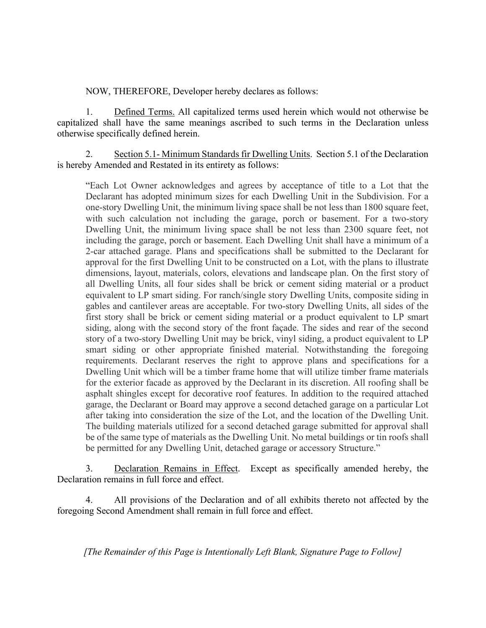NOW, THEREFORE, Developer hereby declares as follows:

1. Defined Terms. All capitalized terms used herein which would not otherwise be capitalized shall have the same meanings ascribed to such terms in the Declaration unless otherwise specifically defined herein.

2. Section 5.1- Minimum Standards fir Dwelling Units. Section 5.1 of the Declaration is hereby Amended and Restated in its entirety as follows:

"Each Lot Owner acknowledges and agrees by acceptance of title to a Lot that the Declarant has adopted minimum sizes for each Dwelling Unit in the Subdivision. For a one-story Dwelling Unit, the minimum living space shall be not less than 1800 square feet, with such calculation not including the garage, porch or basement. For a two-story Dwelling Unit, the minimum living space shall be not less than 2300 square feet, not including the garage, porch or basement. Each Dwelling Unit shall have a minimum of a 2-car attached garage. Plans and specifications shall be submitted to the Declarant for approval for the first Dwelling Unit to be constructed on a Lot, with the plans to illustrate dimensions, layout, materials, colors, elevations and landscape plan. On the first story of all Dwelling Units, all four sides shall be brick or cement siding material or a product equivalent to LP smart siding. For ranch/single story Dwelling Units, composite siding in gables and cantilever areas are acceptable. For two-story Dwelling Units, all sides of the first story shall be brick or cement siding material or a product equivalent to LP smart siding, along with the second story of the front façade. The sides and rear of the second story of a two-story Dwelling Unit may be brick, vinyl siding, a product equivalent to LP smart siding or other appropriate finished material. Notwithstanding the foregoing requirements. Declarant reserves the right to approve plans and specifications for a Dwelling Unit which will be a timber frame home that will utilize timber frame materials for the exterior facade as approved by the Declarant in its discretion. All roofing shall be asphalt shingles except for decorative roof features. In addition to the required attached garage, the Declarant or Board may approve a second detached garage on a particular Lot after taking into consideration the size of the Lot, and the location of the Dwelling Unit. The building materials utilized for a second detached garage submitted for approval shall be of the same type of materials as the Dwelling Unit. No metal buildings or tin roofs shall be permitted for any Dwelling Unit, detached garage or accessory Structure."

3. Declaration Remains in Effect. Except as specifically amended hereby, the Declaration remains in full force and effect.

4. All provisions of the Declaration and of all exhibits thereto not affected by the foregoing Second Amendment shall remain in full force and effect.

*[The Remainder of this Page is Intentionally Left Blank, Signature Page to Follow]*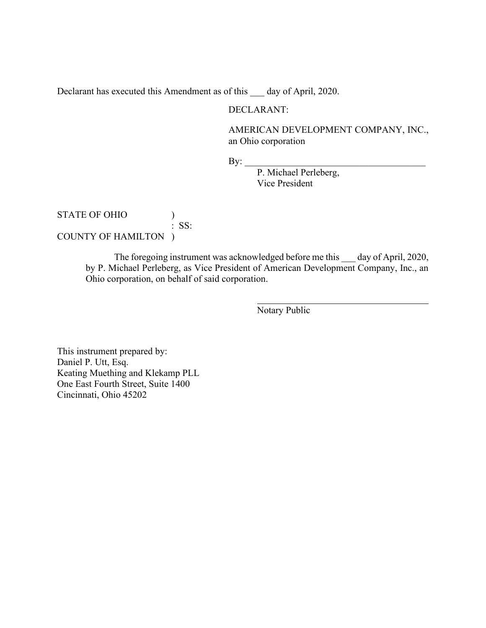Declarant has executed this Amendment as of this day of April, 2020.

### DECLARANT:

AMERICAN DEVELOPMENT COMPANY, INC., an Ohio corporation

 $By:$ 

P. Michael Perleberg, Vice President

STATE OF OHIO  $\qquad$  ) : SS: COUNTY OF HAMILTON )

> The foregoing instrument was acknowledged before me this day of April, 2020, by P. Michael Perleberg, as Vice President of American Development Company, Inc., an Ohio corporation, on behalf of said corporation.

> > Notary Public

This instrument prepared by: Daniel P. Utt, Esq. Keating Muething and Klekamp PLL One East Fourth Street, Suite 1400 Cincinnati, Ohio 45202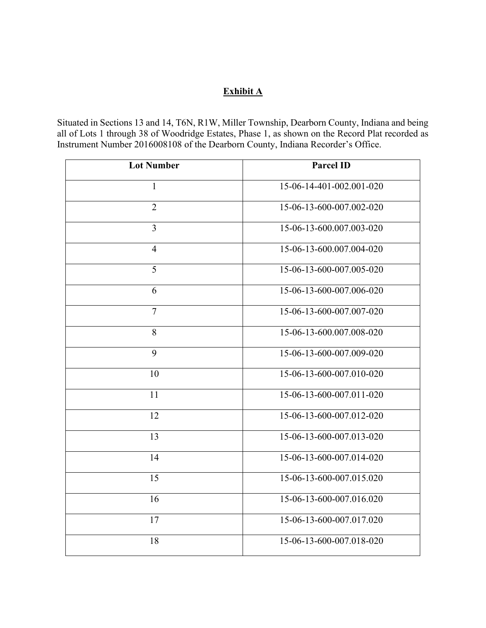# **Exhibit A**

Situated in Sections 13 and 14, T6N, R1W, Miller Township, Dearborn County, Indiana and being all of Lots 1 through 38 of Woodridge Estates, Phase 1, as shown on the Record Plat recorded as Instrument Number 2016008108 of the Dearborn County, Indiana Recorder's Office.

| <b>Lot Number</b> | <b>Parcel ID</b>         |
|-------------------|--------------------------|
| 1                 | 15-06-14-401-002.001-020 |
| $\overline{2}$    | 15-06-13-600-007.002-020 |
| $\overline{3}$    | 15-06-13-600.007.003-020 |
| $\overline{4}$    | 15-06-13-600.007.004-020 |
| 5                 | 15-06-13-600-007.005-020 |
| 6                 | 15-06-13-600-007.006-020 |
| $\overline{7}$    | 15-06-13-600-007.007-020 |
| 8                 | 15-06-13-600.007.008-020 |
| 9                 | 15-06-13-600-007.009-020 |
| 10                | 15-06-13-600-007.010-020 |
| 11                | 15-06-13-600-007.011-020 |
| 12                | 15-06-13-600-007.012-020 |
| 13                | 15-06-13-600-007.013-020 |
| 14                | 15-06-13-600-007.014-020 |
| 15                | 15-06-13-600-007.015.020 |
| 16                | 15-06-13-600-007.016.020 |
| 17                | 15-06-13-600-007.017.020 |
| 18                | 15-06-13-600-007.018-020 |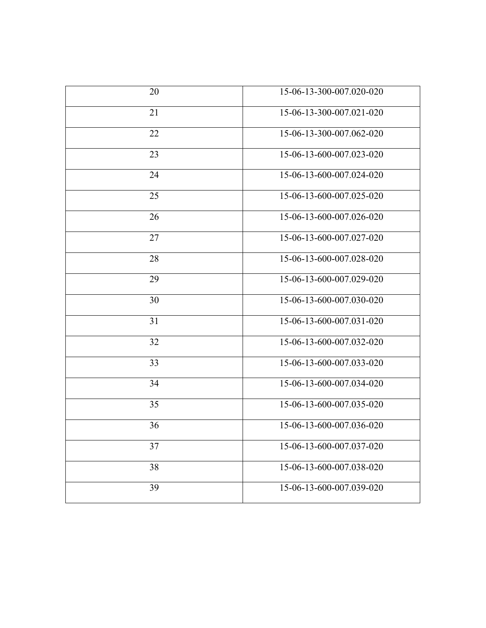| 20 | 15-06-13-300-007.020-020 |
|----|--------------------------|
| 21 | 15-06-13-300-007.021-020 |
| 22 | 15-06-13-300-007.062-020 |
| 23 | 15-06-13-600-007.023-020 |
| 24 | 15-06-13-600-007.024-020 |
| 25 | 15-06-13-600-007.025-020 |
| 26 | 15-06-13-600-007.026-020 |
| 27 | 15-06-13-600-007.027-020 |
| 28 | 15-06-13-600-007.028-020 |
| 29 | 15-06-13-600-007.029-020 |
| 30 | 15-06-13-600-007.030-020 |
| 31 | 15-06-13-600-007.031-020 |
| 32 | 15-06-13-600-007.032-020 |
| 33 | 15-06-13-600-007.033-020 |
| 34 | 15-06-13-600-007.034-020 |
| 35 | 15-06-13-600-007.035-020 |
| 36 | 15-06-13-600-007.036-020 |
| 37 | 15-06-13-600-007.037-020 |
| 38 | 15-06-13-600-007.038-020 |
| 39 | 15-06-13-600-007.039-020 |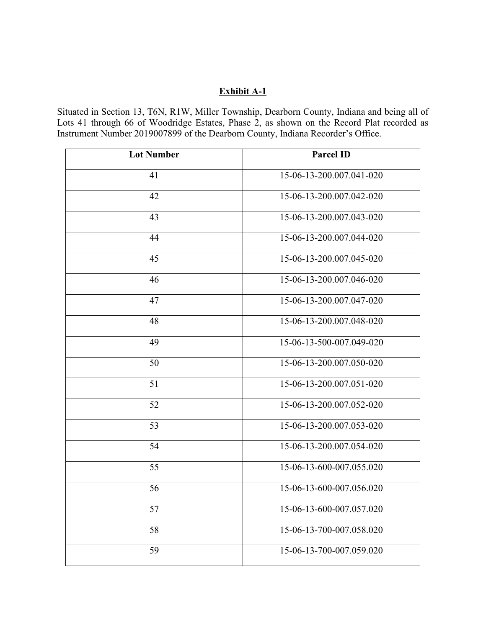# **Exhibit A-1**

Situated in Section 13, T6N, R1W, Miller Township, Dearborn County, Indiana and being all of Lots 41 through 66 of Woodridge Estates, Phase 2, as shown on the Record Plat recorded as Instrument Number 2019007899 of the Dearborn County, Indiana Recorder's Office.

| <b>Lot Number</b> | <b>Parcel ID</b>         |
|-------------------|--------------------------|
| 41                | 15-06-13-200.007.041-020 |
| 42                | 15-06-13-200.007.042-020 |
| 43                | 15-06-13-200.007.043-020 |
| 44                | 15-06-13-200.007.044-020 |
| 45                | 15-06-13-200.007.045-020 |
| 46                | 15-06-13-200.007.046-020 |
| 47                | 15-06-13-200.007.047-020 |
| 48                | 15-06-13-200.007.048-020 |
| 49                | 15-06-13-500-007.049-020 |
| 50                | 15-06-13-200.007.050-020 |
| 51                | 15-06-13-200.007.051-020 |
| 52                | 15-06-13-200.007.052-020 |
| 53                | 15-06-13-200.007.053-020 |
| 54                | 15-06-13-200.007.054-020 |
| 55                | 15-06-13-600-007.055.020 |
| 56                | 15-06-13-600-007.056.020 |
| 57                | 15-06-13-600-007.057.020 |
| 58                | 15-06-13-700-007.058.020 |
| 59                | 15-06-13-700-007.059.020 |